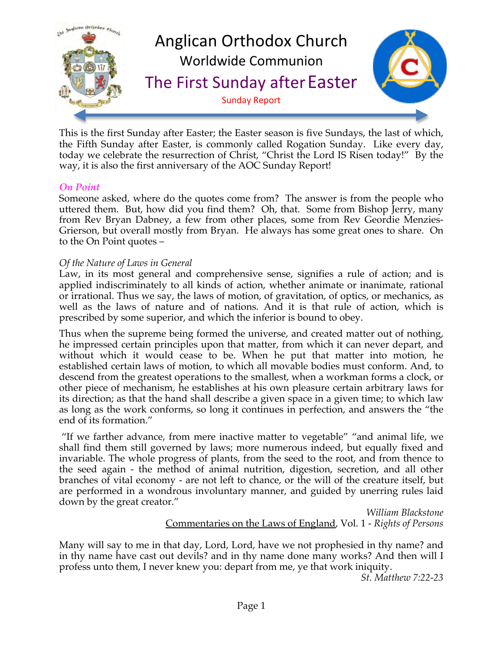

This is the first Sunday after Easter; the Easter season is five Sundays, the last of which, the Fifth Sunday after Easter, is commonly called Rogation Sunday. Like every day, today we celebrate the resurrection of Christ, "Christ the Lord IS Risen today!" By the way, it is also the first anniversary of the AOC Sunday Report!

#### *On Point*

Someone asked, where do the quotes come from? The answer is from the people who uttered them. But, how did you find them? Oh, that. Some from Bishop Jerry, many from Rev Bryan Dabney, a few from other places, some from Rev Geordie Menzies-Grierson, but overall mostly from Bryan. He always has some great ones to share. On to the On Point quotes –

#### *Of the Nature of Laws in General*

Law, in its most general and comprehensive sense, signifies a rule of action; and is applied indiscriminately to all kinds of action, whether animate or inanimate, rational or irrational. Thus we say, the laws of motion, of gravitation, of optics, or mechanics, as well as the laws of nature and of nations. And it is that rule of action, which is prescribed by some superior, and which the inferior is bound to obey.

Thus when the supreme being formed the universe, and created matter out of nothing, he impressed certain principles upon that matter, from which it can never depart, and without which it would cease to be. When he put that matter into motion, he established certain laws of motion, to which all movable bodies must conform. And, to descend from the greatest operations to the smallest, when a workman forms a clock, or other piece of mechanism, he establishes at his own pleasure certain arbitrary laws for its direction; as that the hand shall describe a given space in a given time; to which law as long as the work conforms, so long it continues in perfection, and answers the "the end of its formation."

 "If we farther advance, from mere inactive matter to vegetable" "and animal life, we shall find them still governed by laws; more numerous indeed, but equally fixed and invariable. The whole progress of plants, from the seed to the root, and from thence to the seed again - the method of animal nutrition, digestion, secretion, and all other branches of vital economy - are not left to chance, or the will of the creature itself, but are performed in a wondrous involuntary manner, and guided by unerring rules laid down by the great creator."

*William Blackstone* Commentaries on the Laws of England, Vol. 1 - *Rights of Persons*

Many will say to me in that day, Lord, Lord, have we not prophesied in thy name? and in thy name have cast out devils? and in thy name done many works? And then will I profess unto them, I never knew you: depart from me, ye that work iniquity.

*St. Matthew 7:22-23*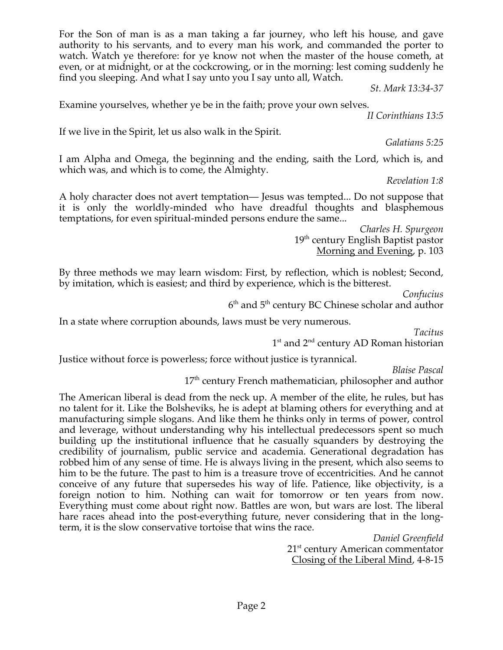For the Son of man is as a man taking a far journey, who left his house, and gave authority to his servants, and to every man his work, and commanded the porter to watch. Watch ye therefore: for ye know not when the master of the house cometh, at even, or at midnight, or at the cockcrowing, or in the morning: lest coming suddenly he find you sleeping. And what I say unto you I say unto all, Watch.

*St. Mark 13:34-37*

Examine yourselves, whether ye be in the faith; prove your own selves.

*II Corinthians 13:5*

If we live in the Spirit, let us also walk in the Spirit.

*Galatians 5:25*

I am Alpha and Omega, the beginning and the ending, saith the Lord, which is, and which was, and which is to come, the Almighty.

*Revelation 1:8*

A holy character does not avert temptation— Jesus was tempted... Do not suppose that it is only the worldly-minded who have dreadful thoughts and blasphemous temptations, for even spiritual-minded persons endure the same...

> *Charles H. Spurgeon* 19<sup>th</sup> century English Baptist pastor Morning and Evening, p. 103

By three methods we may learn wisdom: First, by reflection, which is noblest; Second, by imitation, which is easiest; and third by experience, which is the bitterest.

*Confucius*

 $6<sup>th</sup>$  and  $5<sup>th</sup>$  century BC Chinese scholar and author

In a state where corruption abounds, laws must be very numerous.

*Tacitus*

1<sup>st</sup> and 2<sup>nd</sup> century AD Roman historian

Justice without force is powerless; force without justice is tyrannical.

*Blaise Pascal*

17<sup>th</sup> century French mathematician, philosopher and author

The American liberal is dead from the neck up. A member of the elite, he rules, but has no talent for it. Like the Bolsheviks, he is adept at blaming others for everything and at manufacturing simple slogans. And like them he thinks only in terms of power, control and leverage, without understanding why his intellectual predecessors spent so much building up the institutional influence that he casually squanders by destroying the credibility of journalism, public service and academia. Generational degradation has robbed him of any sense of time. He is always living in the present, which also seems to him to be the future. The past to him is a treasure trove of eccentricities. And he cannot conceive of any future that supersedes his way of life. Patience, like objectivity, is a foreign notion to him. Nothing can wait for tomorrow or ten years from now. Everything must come about right now. Battles are won, but wars are lost. The liberal hare races ahead into the post-everything future, never considering that in the longterm, it is the slow conservative tortoise that wins the race.

*Daniel Greenfield* 21<sup>st</sup> century American commentator Closing of the Liberal Mind, 4-8-15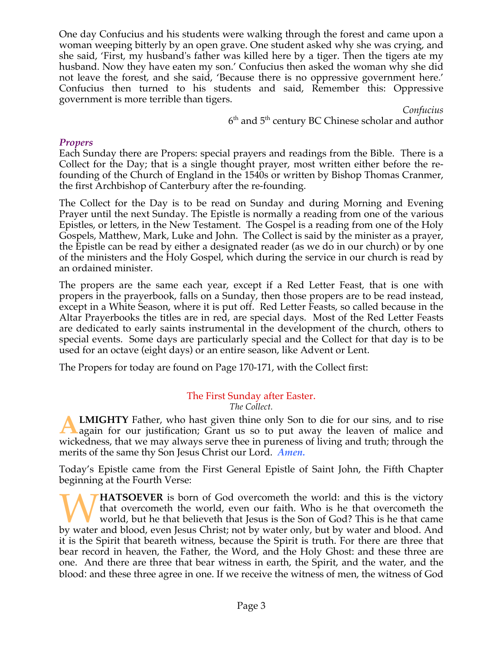One day Confucius and his students were walking through the forest and came upon a woman weeping bitterly by an open grave. One student asked why she was crying, and she said, 'First, my husband's father was killed here by a tiger. Then the tigers ate my husband. Now they have eaten my son.' Confucius then asked the woman why she did not leave the forest, and she said, 'Because there is no oppressive government here.' Confucius then turned to his students and said, Remember this: Oppressive government is more terrible than tigers.

> *Confucius*  $6<sup>th</sup>$  and  $5<sup>th</sup>$  century BC Chinese scholar and author

#### *Propers*

Each Sunday there are Propers: special prayers and readings from the Bible. There is a Collect for the Day; that is a single thought prayer, most written either before the refounding of the Church of England in the 1540s or written by Bishop Thomas Cranmer, the first Archbishop of Canterbury after the re-founding.

The Collect for the Day is to be read on Sunday and during Morning and Evening Prayer until the next Sunday. The Epistle is normally a reading from one of the various Epistles, or letters, in the New Testament. The Gospel is a reading from one of the Holy Gospels, Matthew, Mark, Luke and John. The Collect is said by the minister as a prayer, the Epistle can be read by either a designated reader (as we do in our church) or by one of the ministers and the Holy Gospel, which during the service in our church is read by an ordained minister.

The propers are the same each year, except if a Red Letter Feast, that is one with propers in the prayerbook, falls on a Sunday, then those propers are to be read instead, except in a White Season, where it is put off. Red Letter Feasts, so called because in the Altar Prayerbooks the titles are in red, are special days. Most of the Red Letter Feasts are dedicated to early saints instrumental in the development of the church, others to special events. Some days are particularly special and the Collect for that day is to be used for an octave (eight days) or an entire season, like Advent or Lent.

The Propers for today are found on Page 170-171, with the Collect first:

# The First Sunday after Easter.

*The Collect.*

**LMIGHTY** Father, who hast given thine only Son to die for our sins, and to rise **ALMIGHTY** Father, who hast given thine only Son to die for our sins, and to rise again for our justification; Grant us so to put away the leaven of malice and wickedness, that we may always serve thee in pureness of living and truth; through the merits of the same thy Son Jesus Christ our Lord. *Amen.*

Today's Epistle came from the First General Epistle of Saint John, the Fifth Chapter beginning at the Fourth Verse:

**HATSOEVER** is born of God overcometh the world: and this is the victory that overcometh the world, even our faith. Who is he that overcometh the world, but he that believeth that Jesus is the Son of God? This is he that came **by HATSOEVER** is born of God overcometh the world: and this is the victory that overcometh the world, even our faith. Who is he that overcometh the world, but he that believeth that Jesus is the Son of God? This is he tha it is the Spirit that beareth witness, because the Spirit is truth. For there are three that bear record in heaven, the Father, the Word, and the Holy Ghost: and these three are one. And there are three that bear witness in earth, the Spirit, and the water, and the blood: and these three agree in one. If we receive the witness of men, the witness of God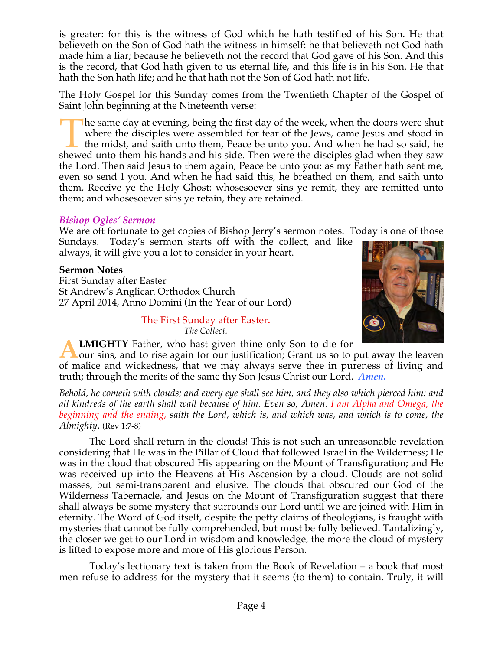is greater: for this is the witness of God which he hath testified of his Son. He that believeth on the Son of God hath the witness in himself: he that believeth not God hath made him a liar; because he believeth not the record that God gave of his Son. And this is the record, that God hath given to us eternal life, and this life is in his Son. He that hath the Son hath life; and he that hath not the Son of God hath not life.

The Holy Gospel for this Sunday comes from the Twentieth Chapter of the Gospel of Saint John beginning at the Nineteenth verse:

he same day at evening, being the first day of the week, when the doors were shut where the disciples were assembled for fear of the Jews, came Jesus and stood in the midst, and saith unto them, Peace be unto you. And when he had so said, he The same day at evening, being the first day of the week, when the doors were shut where the disciples were assembled for fear of the Jews, came Jesus and stood in the midst, and saith unto them, Peace be unto you. And whe the Lord. Then said Jesus to them again, Peace be unto you: as my Father hath sent me, even so send I you. And when he had said this, he breathed on them, and saith unto them, Receive ye the Holy Ghost: whosesoever sins ye remit, they are remitted unto them; and whosesoever sins ye retain, they are retained.

### *Bishop Ogles' Sermon*

We are oft fortunate to get copies of Bishop Jerry's sermon notes. Today is one of those Sundays. Today's sermon starts off with the collect, and like

always, it will give you a lot to consider in your heart.

### **Sermon Notes**

First Sunday after Easter St Andrew's Anglican Orthodox Church 27 April 2014, Anno Domini (In the Year of our Lord)

> The First Sunday after Easter. *The Collect.*



**LMIGHTY** Father, who hast given thine only Son to die for

our sins, and to rise again for our justification; Grant us so to put away the leaven of malice and wickedness, that we may always serve thee in pureness of living and truth; through the merits of the same thy Son Jesus Christ our Lord. *Amen.* **A**

*Behold, he cometh with clouds; and every eye shall see him, and they also which pierced him: and all kindreds of the earth shall wail because of him. Even so, Amen. I am Alpha and Omega, the beginning and the ending, saith the Lord, which is, and which was, and which is to come, the Almighty*. (Rev 1:7-8)

 The Lord shall return in the clouds! This is not such an unreasonable revelation considering that He was in the Pillar of Cloud that followed Israel in the Wilderness; He was in the cloud that obscured His appearing on the Mount of Transfiguration; and He was received up into the Heavens at His Ascension by a cloud. Clouds are not solid masses, but semi-transparent and elusive. The clouds that obscured our God of the Wilderness Tabernacle, and Jesus on the Mount of Transfiguration suggest that there shall always be some mystery that surrounds our Lord until we are joined with Him in eternity. The Word of God itself, despite the petty claims of theologians, is fraught with mysteries that cannot be fully comprehended, but must be fully believed. Tantalizingly, the closer we get to our Lord in wisdom and knowledge, the more the cloud of mystery is lifted to expose more and more of His glorious Person.

 Today's lectionary text is taken from the Book of Revelation – a book that most men refuse to address for the mystery that it seems (to them) to contain. Truly, it will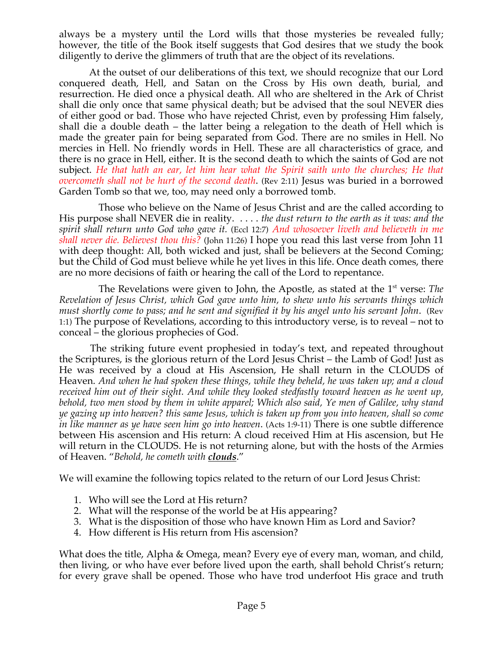always be a mystery until the Lord wills that those mysteries be revealed fully; however, the title of the Book itself suggests that God desires that we study the book diligently to derive the glimmers of truth that are the object of its revelations.

 At the outset of our deliberations of this text, we should recognize that our Lord conquered death, Hell, and Satan on the Cross by His own death, burial, and resurrection. He died once a physical death. All who are sheltered in the Ark of Christ shall die only once that same physical death; but be advised that the soul NEVER dies of either good or bad. Those who have rejected Christ, even by professing Him falsely, shall die a double death – the latter being a relegation to the death of Hell which is made the greater pain for being separated from God. There are no smiles in Hell. No mercies in Hell. No friendly words in Hell. These are all characteristics of grace, and there is no grace in Hell, either. It is the second death to which the saints of God are not subject. *He that hath an ear, let him hear what the Spirit saith unto the churches; He that overcometh shall not be hurt of the second death*. (Rev 2:11) Jesus was buried in a borrowed Garden Tomb so that we, too, may need only a borrowed tomb.

Those who believe on the Name of Jesus Christ and are the called according to His purpose shall NEVER die in reality. . . . . *the dust return to the earth as it was: and the spirit shall return unto God who gave it.* (Eccl 12:7) *And whosoever liveth and believeth in me shall never die. Believest thou this?* (John 11:26) I hope you read this last verse from John 11 with deep thought: All, both wicked and just, shall be believers at the Second Coming; but the Child of God must believe while he yet lives in this life. Once death comes, there are no more decisions of faith or hearing the call of the Lord to repentance.

The Revelations were given to John, the Apostle, as stated at the 1<sup>st</sup> verse: *The Revelation of Jesus Christ, which God gave unto him, to shew unto his servants things which must shortly come to pass; and he sent and signified it by his angel unto his servant John*. (Rev 1:1) The purpose of Revelations, according to this introductory verse, is to reveal – not to conceal – the glorious prophecies of God.

 The striking future event prophesied in today's text, and repeated throughout the Scriptures, is the glorious return of the Lord Jesus Christ – the Lamb of God! Just as He was received by a cloud at His Ascension, He shall return in the CLOUDS of Heaven. *And when he had spoken these things, while they beheld, he was taken up; and a cloud received him out of their sight. And while they looked stedfastly toward heaven as he went up, behold, two men stood by them in white apparel; Which also said, Ye men of Galilee, why stand ye gazing up into heaven? this same Jesus, which is taken up from you into heaven, shall so come in like manner as ye have seen him go into heaven*. (Acts 1:9-11) There is one subtle difference between His ascension and His return: A cloud received Him at His ascension, but He will return in the CLOUDS. He is not returning alone, but with the hosts of the Armies of Heaven. "*Behold, he cometh with clouds*."

We will examine the following topics related to the return of our Lord Jesus Christ:

- 1. Who will see the Lord at His return?
- 2. What will the response of the world be at His appearing?
- 3. What is the disposition of those who have known Him as Lord and Savior?
- 4. How different is His return from His ascension?

What does the title, Alpha & Omega, mean? Every eye of every man, woman, and child, then living, or who have ever before lived upon the earth, shall behold Christ's return; for every grave shall be opened. Those who have trod underfoot His grace and truth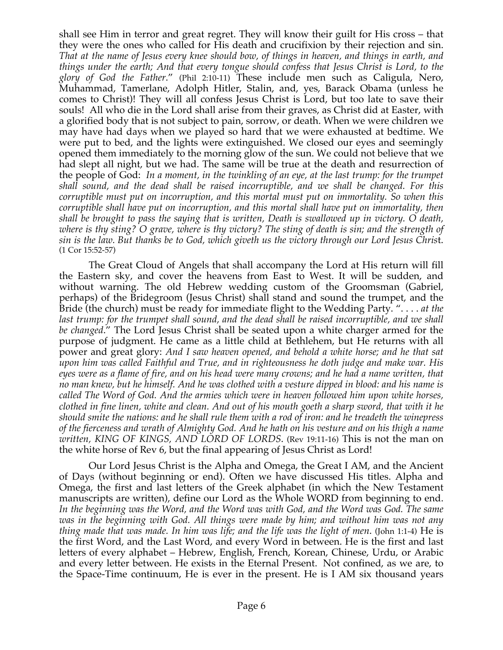shall see Him in terror and great regret. They will know their guilt for His cross – that they were the ones who called for His death and crucifixion by their rejection and sin. *That at the name of Jesus every knee should bow, of things in heaven, and things in earth, and things under the earth; And that every tongue should confess that Jesus Christ is Lord, to the glory of God the Father*." (Phil 2:10-11) These include men such as Caligula, Nero, Muhammad, Tamerlane, Adolph Hitler, Stalin, and, yes, Barack Obama (unless he comes to Christ)! They will all confess Jesus Christ is Lord, but too late to save their souls! All who die in the Lord shall arise from their graves, as Christ did at Easter, with a glorified body that is not subject to pain, sorrow, or death. When we were children we may have had days when we played so hard that we were exhausted at bedtime. We were put to bed, and the lights were extinguished. We closed our eyes and seemingly opened them immediately to the morning glow of the sun. We could not believe that we had slept all night, but we had. The same will be true at the death and resurrection of the people of God: *In a moment, in the twinkling of an eye, at the last trump: for the trumpet shall sound, and the dead shall be raised incorruptible, and we shall be changed. For this corruptible must put on incorruption, and this mortal must put on immortality. So when this corruptible shall have put on incorruption, and this mortal shall have put on immortality, then shall be brought to pass the saying that is written, Death is swallowed up in victory. O death, where is thy sting? O grave, where is thy victory? The sting of death is sin; and the strength of sin is the law. But thanks be to God, which giveth us the victory through our Lord Jesus Chris*t. (1 Cor 15:52-57)

The Great Cloud of Angels that shall accompany the Lord at His return will fill the Eastern sky, and cover the heavens from East to West. It will be sudden, and without warning. The old Hebrew wedding custom of the Groomsman (Gabriel, perhaps) of the Bridegroom (Jesus Christ) shall stand and sound the trumpet, and the Bride (the church) must be ready for immediate flight to the Wedding Party. ". . . . *at the last trump: for the trumpet shall sound, and the dead shall be raised incorruptible, and we shall be changed*." The Lord Jesus Christ shall be seated upon a white charger armed for the purpose of judgment. He came as a little child at Bethlehem, but He returns with all power and great glory: *And I saw heaven opened, and behold a white horse; and he that sat upon him was called Faithful and True, and in righteousness he doth judge and make war. His eyes were as a flame of fire, and on his head were many crowns; and he had a name written, that no man knew, but he himself. And he was clothed with a vesture dipped in blood: and his name is called The Word of God. And the armies which were in heaven followed him upon white horses, clothed in fine linen, white and clean. And out of his mouth goeth a sharp sword, that with it he should smite the nations: and he shall rule them with a rod of iron: and he treadeth the winepress of the fierceness and wrath of Almighty God. And he hath on his vesture and on his thigh a name written, KING OF KINGS, AND LORD OF LORDS*. (Rev 19:11-16) This is not the man on the white horse of Rev 6, but the final appearing of Jesus Christ as Lord!

Our Lord Jesus Christ is the Alpha and Omega, the Great I AM, and the Ancient of Days (without beginning or end). Often we have discussed His titles. Alpha and Omega, the first and last letters of the Greek alphabet (in which the New Testament manuscripts are written), define our Lord as the Whole WORD from beginning to end. *In the beginning was the Word, and the Word was with God, and the Word was God. The same was in the beginning with God. All things were made by him; and without him was not any thing made that was made. In him was life; and the life was the light of men*. (John 1:1-4) He is the first Word, and the Last Word, and every Word in between. He is the first and last letters of every alphabet – Hebrew, English, French, Korean, Chinese, Urdu, or Arabic and every letter between. He exists in the Eternal Present. Not confined, as we are, to the Space-Time continuum, He is ever in the present. He is I AM six thousand years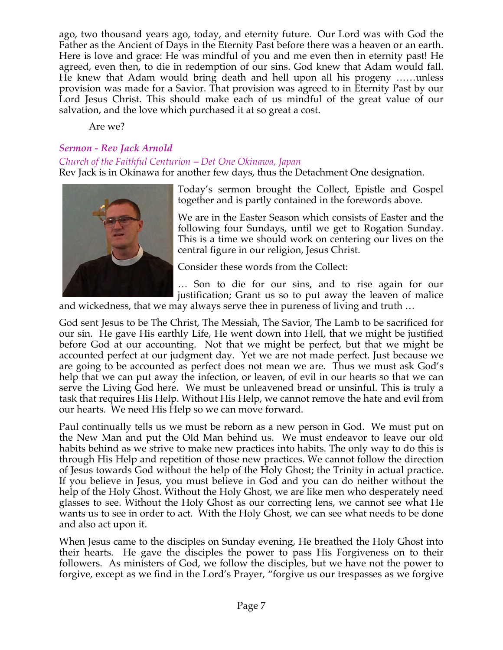ago, two thousand years ago, today, and eternity future. Our Lord was with God the Father as the Ancient of Days in the Eternity Past before there was a heaven or an earth. Here is love and grace: He was mindful of you and me even then in eternity past! He agreed, even then, to die in redemption of our sins. God knew that Adam would fall. He knew that Adam would bring death and hell upon all his progeny ……unless provision was made for a Savior. That provision was agreed to in Eternity Past by our Lord Jesus Christ. This should make each of us mindful of the great value of our salvation, and the love which purchased it at so great a cost.

Are we?

### *Sermon - Rev Jack Arnold*

#### *Church of the Faithful Centurion* – *Det One Okinawa, Japan*

Rev Jack is in Okinawa for another few days, thus the Detachment One designation.



Today's sermon brought the Collect, Epistle and Gospel together and is partly contained in the forewords above.

We are in the Easter Season which consists of Easter and the following four Sundays, until we get to Rogation Sunday. This is a time we should work on centering our lives on the central figure in our religion, Jesus Christ.

Consider these words from the Collect:

… Son to die for our sins, and to rise again for our justification; Grant us so to put away the leaven of malice

and wickedness, that we may always serve thee in pureness of living and truth …

God sent Jesus to be The Christ, The Messiah, The Savior, The Lamb to be sacrificed for our sin. He gave His earthly Life, He went down into Hell, that we might be justified before God at our accounting. Not that we might be perfect, but that we might be accounted perfect at our judgment day. Yet we are not made perfect. Just because we are going to be accounted as perfect does not mean we are. Thus we must ask God's help that we can put away the infection, or leaven, of evil in our hearts so that we can serve the Living God here. We must be unleavened bread or unsinful. This is truly a task that requires His Help. Without His Help, we cannot remove the hate and evil from our hearts. We need His Help so we can move forward.

Paul continually tells us we must be reborn as a new person in God. We must put on the New Man and put the Old Man behind us. We must endeavor to leave our old habits behind as we strive to make new practices into habits. The only way to do this is through His Help and repetition of those new practices. We cannot follow the direction of Jesus towards God without the help of the Holy Ghost; the Trinity in actual practice. If you believe in Jesus, you must believe in God and you can do neither without the help of the Holy Ghost. Without the Holy Ghost, we are like men who desperately need glasses to see. Without the Holy Ghost as our correcting lens, we cannot see what He wants us to see in order to act. With the Holy Ghost, we can see what needs to be done and also act upon it.

When Jesus came to the disciples on Sunday evening, He breathed the Holy Ghost into their hearts. He gave the disciples the power to pass His Forgiveness on to their followers. As ministers of God, we follow the disciples, but we have not the power to forgive, except as we find in the Lord's Prayer, "forgive us our trespasses as we forgive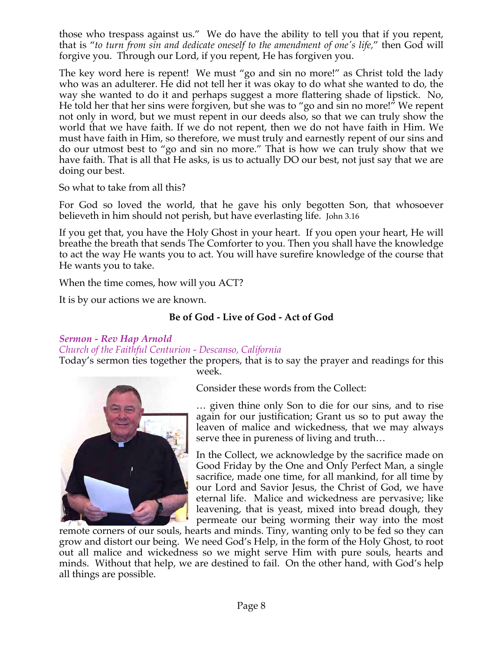those who trespass against us." We do have the ability to tell you that if you repent, that is "*to turn from sin and dedicate oneself to the amendment of one's life*," then God will forgive you. Through our Lord, if you repent, He has forgiven you.

The key word here is repent! We must "go and sin no more!" as Christ told the lady who was an adulterer. He did not tell her it was okay to do what she wanted to do, the way she wanted to do it and perhaps suggest a more flattering shade of lipstick. No, He told her that her sins were forgiven, but she was to "go and sin no more!" We repent not only in word, but we must repent in our deeds also, so that we can truly show the world that we have faith. If we do not repent, then we do not have faith in Him. We must have faith in Him, so therefore, we must truly and earnestly repent of our sins and do our utmost best to "go and sin no more." That is how we can truly show that we have faith. That is all that He asks, is us to actually DO our best, not just say that we are doing our best.

So what to take from all this?

For God so loved the world, that he gave his only begotten Son, that whosoever believeth in him should not perish, but have everlasting life. John 3.16

If you get that, you have the Holy Ghost in your heart. If you open your heart, He will breathe the breath that sends The Comforter to you. Then you shall have the knowledge to act the way He wants you to act. You will have surefire knowledge of the course that He wants you to take.

When the time comes, how will you ACT?

It is by our actions we are known.

# **Be of God - Live of God - Act of God**

### *Sermon - Rev Hap Arnold*

### *Church of the Faithful Centurion - Descanso, California*

Today's sermon ties together the propers, that is to say the prayer and readings for this week.



Consider these words from the Collect:

… given thine only Son to die for our sins, and to rise again for our justification; Grant us so to put away the leaven of malice and wickedness, that we may always serve thee in pureness of living and truth…

In the Collect, we acknowledge by the sacrifice made on Good Friday by the One and Only Perfect Man, a single sacrifice, made one time, for all mankind, for all time by our Lord and Savior Jesus, the Christ of God, we have eternal life. Malice and wickedness are pervasive; like leavening, that is yeast, mixed into bread dough, they permeate our being worming their way into the most

remote corners of our souls, hearts and minds. Tiny, wanting only to be fed so they can grow and distort our being. We need God's Help, in the form of the Holy Ghost, to root out all malice and wickedness so we might serve Him with pure souls, hearts and minds. Without that help, we are destined to fail. On the other hand, with God's help all things are possible.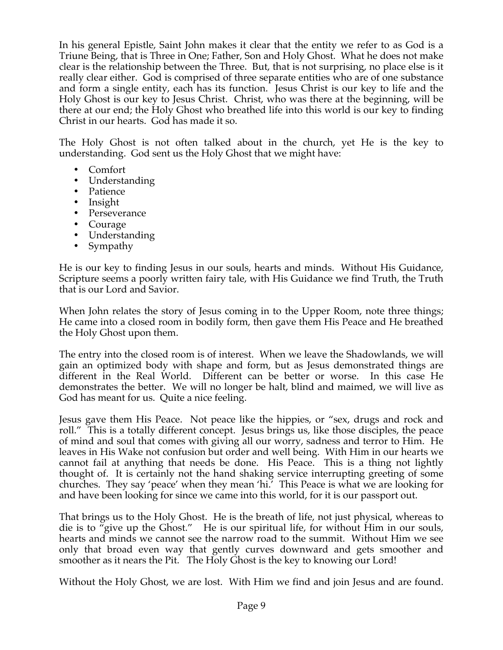In his general Epistle, Saint John makes it clear that the entity we refer to as God is a Triune Being, that is Three in One; Father, Son and Holy Ghost. What he does not make clear is the relationship between the Three. But, that is not surprising, no place else is it really clear either. God is comprised of three separate entities who are of one substance and form a single entity, each has its function. Jesus Christ is our key to life and the Holy Ghost is our key to Jesus Christ. Christ, who was there at the beginning, will be there at our end; the Holy Ghost who breathed life into this world is our key to finding Christ in our hearts. God has made it so.

The Holy Ghost is not often talked about in the church, yet He is the key to understanding. God sent us the Holy Ghost that we might have:

- Comfort
- Understanding
- Patience
- Insight
- Perseverance
- Courage
- Understanding
- Sympathy

He is our key to finding Jesus in our souls, hearts and minds. Without His Guidance, Scripture seems a poorly written fairy tale, with His Guidance we find Truth, the Truth that is our Lord and Savior.

When John relates the story of Jesus coming in to the Upper Room, note three things; He came into a closed room in bodily form, then gave them His Peace and He breathed the Holy Ghost upon them.

The entry into the closed room is of interest. When we leave the Shadowlands, we will gain an optimized body with shape and form, but as Jesus demonstrated things are different in the Real World. Different can be better or worse. In this case He demonstrates the better. We will no longer be halt, blind and maimed, we will live as God has meant for us. Quite a nice feeling.

Jesus gave them His Peace. Not peace like the hippies, or "sex, drugs and rock and roll." This is a totally different concept. Jesus brings us, like those disciples, the peace of mind and soul that comes with giving all our worry, sadness and terror to Him. He leaves in His Wake not confusion but order and well being. With Him in our hearts we cannot fail at anything that needs be done. His Peace. This is a thing not lightly thought of. It is certainly not the hand shaking service interrupting greeting of some churches. They say 'peace' when they mean 'hi.' This Peace is what we are looking for and have been looking for since we came into this world, for it is our passport out.

That brings us to the Holy Ghost. He is the breath of life, not just physical, whereas to die is to "give up the Ghost." He is our spiritual life, for without Him in our souls, hearts and minds we cannot see the narrow road to the summit. Without Him we see only that broad even way that gently curves downward and gets smoother and smoother as it nears the Pit. The Holy Ghost is the key to knowing our Lord!

Without the Holy Ghost, we are lost. With Him we find and join Jesus and are found.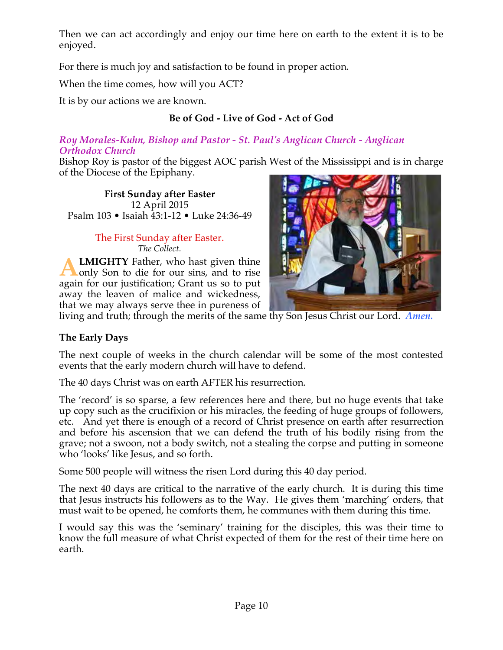Then we can act accordingly and enjoy our time here on earth to the extent it is to be enjoyed.

For there is much joy and satisfaction to be found in proper action.

When the time comes, how will you ACT?

It is by our actions we are known.

# **Be of God - Live of God - Act of God**

### *Roy Morales-Kuhn, Bishop and Pastor - St. Paul's Anglican Church - Anglican Orthodox Church*

Bishop Roy is pastor of the biggest AOC parish West of the Mississippi and is in charge of the Diocese of the Epiphany.

**First Sunday after Easter** 12 April 2015 Psalm 103 • Isaiah 43:1-12 • Luke 24:36-49

### The First Sunday after Easter. *The Collect.*

**LMIGHTY** Father, who hast given thine only Son to die for our sins, and to rise again for our justification; Grant us so to put away the leaven of malice and wickedness, that we may always serve thee in pureness of **A**



living and truth; through the merits of the same thy Son Jesus Christ our Lord. *Amen.*

# **The Early Days**

The next couple of weeks in the church calendar will be some of the most contested events that the early modern church will have to defend.

The 40 days Christ was on earth AFTER his resurrection.

The 'record' is so sparse, a few references here and there, but no huge events that take up copy such as the crucifixion or his miracles, the feeding of huge groups of followers, etc. And yet there is enough of a record of Christ presence on earth after resurrection and before his ascension that we can defend the truth of his bodily rising from the grave; not a swoon, not a body switch, not a stealing the corpse and putting in someone who 'looks' like Jesus, and so forth.

Some 500 people will witness the risen Lord during this 40 day period.

The next 40 days are critical to the narrative of the early church. It is during this time that Jesus instructs his followers as to the Way. He gives them 'marching' orders, that must wait to be opened, he comforts them, he communes with them during this time.

I would say this was the 'seminary' training for the disciples, this was their time to know the full measure of what Christ expected of them for the rest of their time here on earth.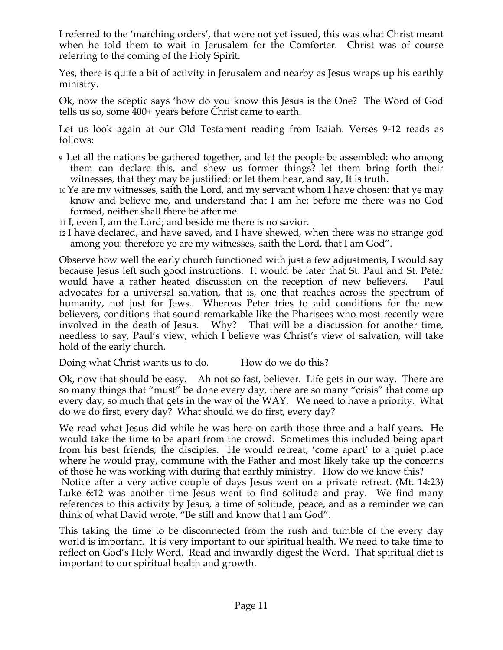I referred to the 'marching orders', that were not yet issued, this was what Christ meant when he told them to wait in Jerusalem for the Comforter. Christ was of course referring to the coming of the Holy Spirit.

Yes, there is quite a bit of activity in Jerusalem and nearby as Jesus wraps up his earthly ministry.

Ok, now the sceptic says 'how do you know this Jesus is the One? The Word of God tells us so, some 400+ years before Christ came to earth.

Let us look again at our Old Testament reading from Isaiah. Verses 9-12 reads as follows:

- 9 Let all the nations be gathered together, and let the people be assembled: who among them can declare this, and shew us former things? let them bring forth their witnesses, that they may be justified: or let them hear, and say, It is truth.
- 10 Ye are my witnesses, saith the Lord, and my servant whom I have chosen: that ye may know and believe me, and understand that I am he: before me there was no God formed, neither shall there be after me.
- 11 I, even I, am the Lord; and beside me there is no savior.
- 12 I have declared, and have saved, and I have shewed, when there was no strange god among you: therefore ye are my witnesses, saith the Lord, that I am God".

Observe how well the early church functioned with just a few adjustments, I would say because Jesus left such good instructions. It would be later that St. Paul and St. Peter would have a rather heated discussion on the reception of new believers. Paul advocates for a universal salvation, that is, one that reaches across the spectrum of humanity, not just for Jews. Whereas Peter tries to add conditions for the new believers, conditions that sound remarkable like the Pharisees who most recently were involved in the death of Jesus. Why? That will be a discussion for another time, needless to say, Paul's view, which I believe was Christ's view of salvation, will take hold of the early church.

Doing what Christ wants us to do. How do we do this?

Ok, now that should be easy. Ah not so fast, believer. Life gets in our way. There are so many things that "must" be done every day, there are so many "crisis" that come up every day, so much that gets in the way of the WAY. We need to have a priority. What do we do first, every day? What should we do first, every day?

We read what Jesus did while he was here on earth those three and a half years. He would take the time to be apart from the crowd. Sometimes this included being apart from his best friends, the disciples. He would retreat, 'come apart' to a quiet place where he would pray, commune with the Father and most likely take up the concerns of those he was working with during that earthly ministry. How do we know this?

 Notice after a very active couple of days Jesus went on a private retreat. (Mt. 14:23) Luke 6:12 was another time Jesus went to find solitude and pray. We find many references to this activity by Jesus, a time of solitude, peace, and as a reminder we can think of what David wrote. "Be still and know that I am God".

This taking the time to be disconnected from the rush and tumble of the every day world is important. It is very important to our spiritual health. We need to take time to reflect on God's Holy Word. Read and inwardly digest the Word. That spiritual diet is important to our spiritual health and growth.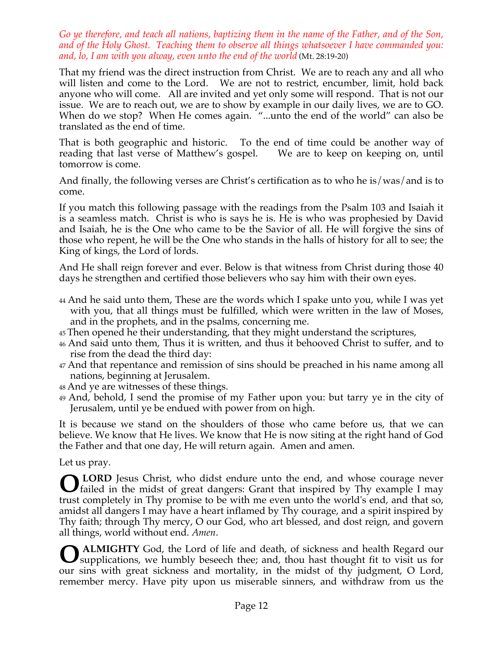*Go ye therefore, and teach all nations, baptizing them in the name of the Father, and of the Son, and of the Holy Ghost. Teaching them to observe all things whatsoever I have commanded you: and, lo, I am with you alway, even unto the end of the world* (Mt. 28:19-20)

That my friend was the direct instruction from Christ. We are to reach any and all who will listen and come to the Lord. We are not to restrict, encumber, limit, hold back anyone who will come. All are invited and yet only some will respond. That is not our issue. We are to reach out, we are to show by example in our daily lives, we are to GO. When do we stop? When He comes again. "...unto the end of the world" can also be translated as the end of time.

That is both geographic and historic. To the end of time could be another way of reading that last verse of Matthew's gospel. We are to keep on keeping on, until tomorrow is come.

And finally, the following verses are Christ's certification as to who he is/was/and is to come.

If you match this following passage with the readings from the Psalm 103 and Isaiah it is a seamless match. Christ is who is says he is. He is who was prophesied by David and Isaiah, he is the One who came to be the Savior of all. He will forgive the sins of those who repent, he will be the One who stands in the halls of history for all to see; the King of kings, the Lord of lords.

And He shall reign forever and ever. Below is that witness from Christ during those 40 days he strengthen and certified those believers who say him with their own eyes.

- 44 And he said unto them, These are the words which I spake unto you, while I was yet with you, that all things must be fulfilled, which were written in the law of Moses, and in the prophets, and in the psalms, concerning me.
- 45 Then opened he their understanding, that they might understand the scriptures,
- 46 And said unto them, Thus it is written, and thus it behooved Christ to suffer, and to rise from the dead the third day:
- 47 And that repentance and remission of sins should be preached in his name among all nations, beginning at Jerusalem.
- 48 And ye are witnesses of these things.
- 49 And, behold, I send the promise of my Father upon you: but tarry ye in the city of Jerusalem, until ye be endued with power from on high.

It is because we stand on the shoulders of those who came before us, that we can believe. We know that He lives. We know that He is now siting at the right hand of God the Father and that one day, He will return again. Amen and amen.

Let us pray.

 **LORD** Jesus Christ, who didst endure unto the end, and whose courage never **O** LORD Jesus Christ, who didst endure unto the end, and whose courage never failed in the midst of great dangers: Grant that inspired by Thy example I may trust completely in Thy promise to be with me even unto the world's end, and that so, amidst all dangers I may have a heart inflamed by Thy courage, and a spirit inspired by Thy faith; through Thy mercy, O our God, who art blessed, and dost reign, and govern all things, world without end. *Amen*.

 **ALMIGHTY** God, the Lord of life and death, of sickness and health Regard our supplications, we humbly beseech thee; and, thou hast thought fit to visit us for our sins with great sickness and mortality, in the midst of thy judgment, O Lord, remember mercy. Have pity upon us miserable sinners, and withdraw from us the **O**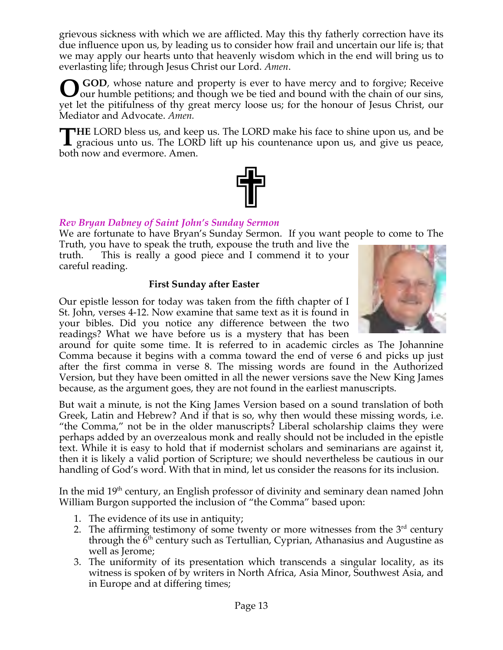grievous sickness with which we are afflicted. May this thy fatherly correction have its due influence upon us, by leading us to consider how frail and uncertain our life is; that we may apply our hearts unto that heavenly wisdom which in the end will bring us to everlasting life; through Jesus Christ our Lord. *Amen*.

**O** GOD, whose nature and property is ever to have mercy and to forgive; Receive our humble petitions; and though we be tied and bound with the chain of our sins, our humble petitions; and though we be tied and bound with the chain of our sins, yet let the pitifulness of thy great mercy loose us; for the honour of Jesus Christ, our Mediator and Advocate. *Amen.*

**HE** LORD bless us, and keep us. The LORD make his face to shine upon us, and be THE LORD bless us, and keep us. The LORD make his face to shine upon us, and be gracious unto us. The LORD lift up his countenance upon us, and give us peace, both now and evermore. Amen.



# *Rev Bryan Dabney of Saint John's Sunday Sermon*

We are fortunate to have Bryan's Sunday Sermon. If you want people to come to The

Truth, you have to speak the truth, expouse the truth and live the truth. This is really a good piece and I commend it to your careful reading.

# **First Sunday after Easter**

Our epistle lesson for today was taken from the fifth chapter of I St. John, verses 4-12. Now examine that same text as it is found in your bibles. Did you notice any difference between the two readings? What we have before us is a mystery that has been

around for quite some time. It is referred to in academic circles as The Johannine Comma because it begins with a comma toward the end of verse 6 and picks up just after the first comma in verse 8. The missing words are found in the Authorized Version, but they have been omitted in all the newer versions save the New King James because, as the argument goes, they are not found in the earliest manuscripts.

But wait a minute, is not the King James Version based on a sound translation of both Greek, Latin and Hebrew? And if that is so, why then would these missing words, i.e. "the Comma," not be in the older manuscripts? Liberal scholarship claims they were perhaps added by an overzealous monk and really should not be included in the epistle text. While it is easy to hold that if modernist scholars and seminarians are against it, then it is likely a valid portion of Scripture; we should nevertheless be cautious in our handling of God's word. With that in mind, let us consider the reasons for its inclusion.

In the mid 19<sup>th</sup> century, an English professor of divinity and seminary dean named John William Burgon supported the inclusion of "the Comma" based upon:

- 1. The evidence of its use in antiquity;
- 2. The affirming testimony of some twenty or more witnesses from the  $3<sup>rd</sup>$  century through the  $6<sup>th</sup>$  century such as Tertullian, Cyprian, Athanasius and Augustine as well as Jerome;
- 3. The uniformity of its presentation which transcends a singular locality, as its witness is spoken of by writers in North Africa, Asia Minor, Southwest Asia, and in Europe and at differing times;

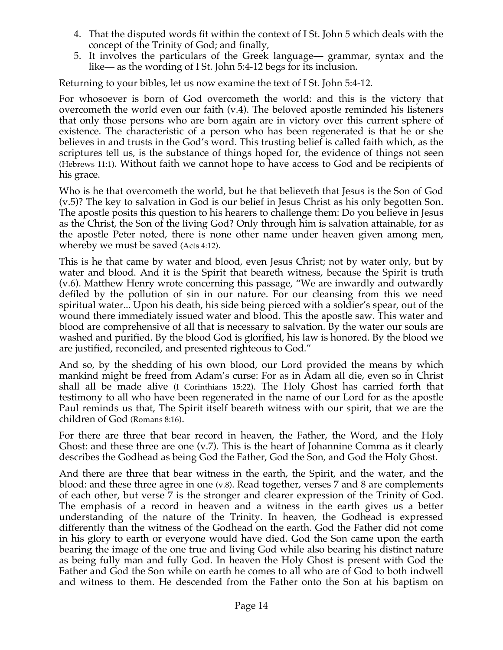- 4. That the disputed words fit within the context of I St. John 5 which deals with the concept of the Trinity of God; and finally,
- 5. It involves the particulars of the Greek language— grammar, syntax and the like— as the wording of I St. John 5:4-12 begs for its inclusion.

Returning to your bibles, let us now examine the text of I St. John 5:4-12.

For whosoever is born of God overcometh the world: and this is the victory that overcometh the world even our faith (v.4). The beloved apostle reminded his listeners that only those persons who are born again are in victory over this current sphere of existence. The characteristic of a person who has been regenerated is that he or she believes in and trusts in the God's word. This trusting belief is called faith which, as the scriptures tell us, is the substance of things hoped for, the evidence of things not seen (Hebrews 11:1). Without faith we cannot hope to have access to God and be recipients of his grace.

Who is he that overcometh the world, but he that believeth that Jesus is the Son of God (v.5)? The key to salvation in God is our belief in Jesus Christ as his only begotten Son. The apostle posits this question to his hearers to challenge them: Do you believe in Jesus as the Christ, the Son of the living God? Only through him is salvation attainable, for as the apostle Peter noted, there is none other name under heaven given among men, whereby we must be saved (Acts 4:12).

This is he that came by water and blood, even Jesus Christ; not by water only, but by water and blood. And it is the Spirit that beareth witness, because the Spirit is truth (v.6). Matthew Henry wrote concerning this passage, "We are inwardly and outwardly defiled by the pollution of sin in our nature. For our cleansing from this we need spiritual water... Upon his death, his side being pierced with a soldier's spear, out of the wound there immediately issued water and blood. This the apostle saw. This water and blood are comprehensive of all that is necessary to salvation. By the water our souls are washed and purified. By the blood God is glorified, his law is honored. By the blood we are justified, reconciled, and presented righteous to God."

And so, by the shedding of his own blood, our Lord provided the means by which mankind might be freed from Adam's curse: For as in Adam all die, even so in Christ shall all be made alive (I Corinthians 15:22). The Holy Ghost has carried forth that testimony to all who have been regenerated in the name of our Lord for as the apostle Paul reminds us that, The Spirit itself beareth witness with our spirit, that we are the children of God (Romans 8:16).

For there are three that bear record in heaven, the Father, the Word, and the Holy Ghost: and these three are one (v.7). This is the heart of Johannine Comma as it clearly describes the Godhead as being God the Father, God the Son, and God the Holy Ghost.

And there are three that bear witness in the earth, the Spirit, and the water, and the blood: and these three agree in one (v.8). Read together, verses 7 and 8 are complements of each other, but verse 7 is the stronger and clearer expression of the Trinity of God. The emphasis of a record in heaven and a witness in the earth gives us a better understanding of the nature of the Trinity. In heaven, the Godhead is expressed differently than the witness of the Godhead on the earth. God the Father did not come in his glory to earth or everyone would have died. God the Son came upon the earth bearing the image of the one true and living God while also bearing his distinct nature as being fully man and fully God. In heaven the Holy Ghost is present with God the Father and God the Son while on earth he comes to all who are of God to both indwell and witness to them. He descended from the Father onto the Son at his baptism on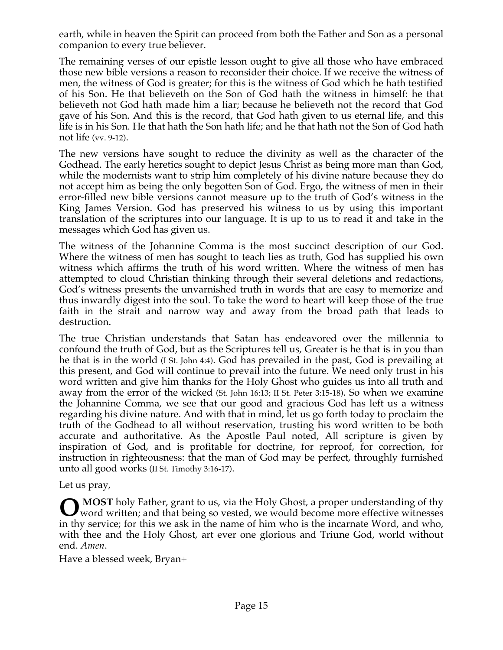earth, while in heaven the Spirit can proceed from both the Father and Son as a personal companion to every true believer.

The remaining verses of our epistle lesson ought to give all those who have embraced those new bible versions a reason to reconsider their choice. If we receive the witness of men, the witness of God is greater; for this is the witness of God which he hath testified of his Son. He that believeth on the Son of God hath the witness in himself: he that believeth not God hath made him a liar; because he believeth not the record that God gave of his Son. And this is the record, that God hath given to us eternal life, and this life is in his Son. He that hath the Son hath life; and he that hath not the Son of God hath not life (vv. 9-12).

The new versions have sought to reduce the divinity as well as the character of the Godhead. The early heretics sought to depict Jesus Christ as being more man than God, while the modernists want to strip him completely of his divine nature because they do not accept him as being the only begotten Son of God. Ergo, the witness of men in their error-filled new bible versions cannot measure up to the truth of God's witness in the King James Version. God has preserved his witness to us by using this important translation of the scriptures into our language. It is up to us to read it and take in the messages which God has given us.

The witness of the Johannine Comma is the most succinct description of our God. Where the witness of men has sought to teach lies as truth, God has supplied his own witness which affirms the truth of his word written. Where the witness of men has attempted to cloud Christian thinking through their several deletions and redactions, God's witness presents the unvarnished truth in words that are easy to memorize and thus inwardly digest into the soul. To take the word to heart will keep those of the true faith in the strait and narrow way and away from the broad path that leads to destruction.

The true Christian understands that Satan has endeavored over the millennia to confound the truth of God, but as the Scriptures tell us, Greater is he that is in you than he that is in the world (I St. John 4:4). God has prevailed in the past, God is prevailing at this present, and God will continue to prevail into the future. We need only trust in his word written and give him thanks for the Holy Ghost who guides us into all truth and away from the error of the wicked (St. John 16:13; II St. Peter 3:15-18). So when we examine the Johannine Comma, we see that our good and gracious God has left us a witness regarding his divine nature. And with that in mind, let us go forth today to proclaim the truth of the Godhead to all without reservation, trusting his word written to be both accurate and authoritative. As the Apostle Paul noted, All scripture is given by inspiration of God, and is profitable for doctrine, for reproof, for correction, for instruction in righteousness: that the man of God may be perfect, throughly furnished unto all good works (II St. Timothy 3:16-17).

Let us pray,

**MOST** holy Father, grant to us, via the Holy Ghost, a proper understanding of thy **O** MOST holy Father, grant to us, via the Holy Ghost, a proper understanding of thy word written; and that being so vested, we would become more effective witnesses in thy service; for this we ask in the name of him who is the incarnate Word, and who, with thee and the Holy Ghost, art ever one glorious and Triune God, world without end. *Amen*.

Have a blessed week, Bryan+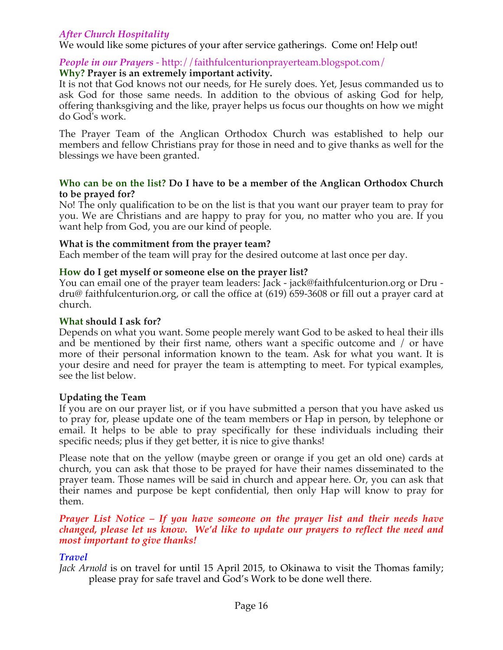# *After Church Hospitality*

We would like some pictures of your after service gatherings. Come on! Help out!

#### *People in our Prayers* - http://faithfulcenturionprayerteam.blogspot.com/ **Why? Prayer is an extremely important activity.**

It is not that God knows not our needs, for He surely does. Yet, Jesus commanded us to ask God for those same needs. In addition to the obvious of asking God for help, offering thanksgiving and the like, prayer helps us focus our thoughts on how we might do God's work.

The Prayer Team of the Anglican Orthodox Church was established to help our members and fellow Christians pray for those in need and to give thanks as well for the blessings we have been granted.

#### **Who can be on the list? Do I have to be a member of the Anglican Orthodox Church to be prayed for?**

No! The only qualification to be on the list is that you want our prayer team to pray for you. We are Christians and are happy to pray for you, no matter who you are. If you want help from God, you are our kind of people.

#### **What is the commitment from the prayer team?**

Each member of the team will pray for the desired outcome at last once per day.

#### **How do I get myself or someone else on the prayer list?**

You can email one of the prayer team leaders: Jack - jack@faithfulcenturion.org or Dru dru@ faithfulcenturion.org, or call the office at (619) 659-3608 or fill out a prayer card at church.

#### **What should I ask for?**

Depends on what you want. Some people merely want God to be asked to heal their ills and be mentioned by their first name, others want a specific outcome and / or have more of their personal information known to the team. Ask for what you want. It is your desire and need for prayer the team is attempting to meet. For typical examples, see the list below.

#### **Updating the Team**

If you are on our prayer list, or if you have submitted a person that you have asked us to pray for, please update one of the team members or Hap in person, by telephone or email. It helps to be able to pray specifically for these individuals including their specific needs; plus if they get better, it is nice to give thanks!

Please note that on the yellow (maybe green or orange if you get an old one) cards at church, you can ask that those to be prayed for have their names disseminated to the prayer team. Those names will be said in church and appear here. Or, you can ask that their names and purpose be kept confidential, then only Hap will know to pray for them.

#### *Prayer List Notice – If you have someone on the prayer list and their needs have changed, please let us know. We'd like to update our prayers to reflect the need and most important to give thanks!*

#### *Travel*

*Jack Arnold* is on travel for until 15 April 2015, to Okinawa to visit the Thomas family; please pray for safe travel and God's Work to be done well there.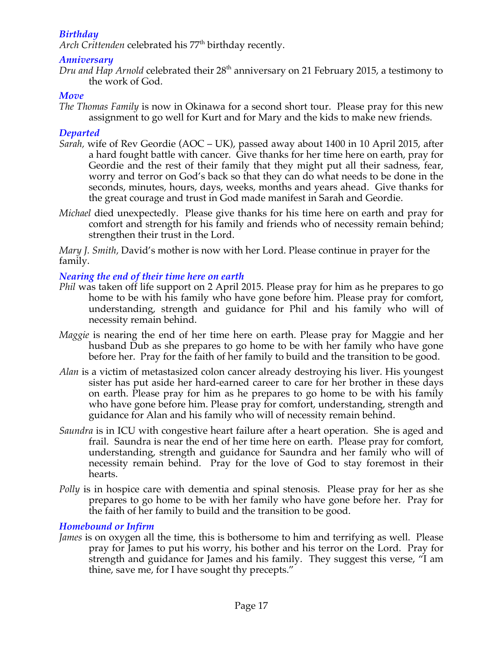# *Birthday*

Arch Crittenden celebrated his 77<sup>th</sup> birthday recently.

#### *Anniversary*

*Dru and Hap Arnold* celebrated their 28th anniversary on 21 February 2015, a testimony to the work of God.

#### *Move*

*The Thomas Family* is now in Okinawa for a second short tour. Please pray for this new assignment to go well for Kurt and for Mary and the kids to make new friends.

### *Departed*

- *Sarah,* wife of Rev Geordie (AOC UK), passed away about 1400 in 10 April 2015, after a hard fought battle with cancer. Give thanks for her time here on earth, pray for Geordie and the rest of their family that they might put all their sadness, fear, worry and terror on God's back so that they can do what needs to be done in the seconds, minutes, hours, days, weeks, months and years ahead. Give thanks for the great courage and trust in God made manifest in Sarah and Geordie.
- *Michael* died unexpectedly. Please give thanks for his time here on earth and pray for comfort and strength for his family and friends who of necessity remain behind; strengthen their trust in the Lord.

*Mary J. Smith,* David's mother is now with her Lord. Please continue in prayer for the family.

### *Nearing the end of their time here on earth*

- *Phil* was taken off life support on 2 April 2015. Please pray for him as he prepares to go home to be with his family who have gone before him. Please pray for comfort, understanding, strength and guidance for Phil and his family who will of necessity remain behind.
- *Maggie* is nearing the end of her time here on earth. Please pray for Maggie and her husband Dub as she prepares to go home to be with her family who have gone before her. Pray for the faith of her family to build and the transition to be good.
- *Alan* is a victim of metastasized colon cancer already destroying his liver. His youngest sister has put aside her hard-earned career to care for her brother in these days on earth. Please pray for him as he prepares to go home to be with his family who have gone before him. Please pray for comfort, understanding, strength and guidance for Alan and his family who will of necessity remain behind.
- *Saundra* is in ICU with congestive heart failure after a heart operation. She is aged and frail. Saundra is near the end of her time here on earth. Please pray for comfort, understanding, strength and guidance for Saundra and her family who will of necessity remain behind. Pray for the love of God to stay foremost in their hearts.
- *Polly* is in hospice care with dementia and spinal stenosis. Please pray for her as she prepares to go home to be with her family who have gone before her. Pray for the faith of her family to build and the transition to be good.

### *Homebound or Infirm*

*James* is on oxygen all the time, this is bothersome to him and terrifying as well. Please pray for James to put his worry, his bother and his terror on the Lord. Pray for strength and guidance for James and his family. They suggest this verse, "I am thine, save me, for I have sought thy precepts."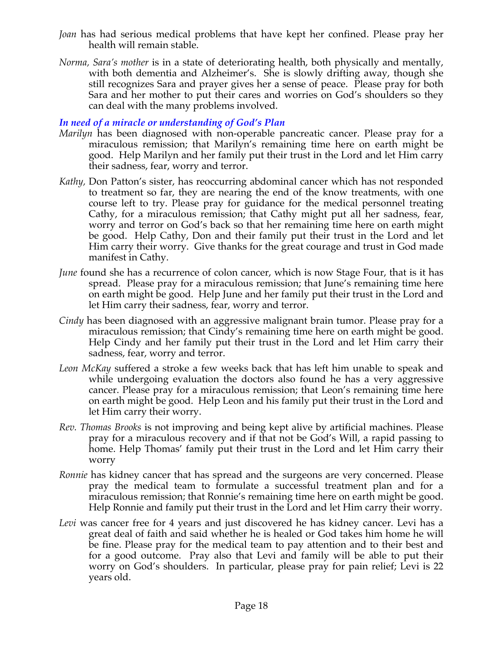- *Joan* has had serious medical problems that have kept her confined. Please pray her health will remain stable.
- *Norma, Sara's mother* is in a state of deteriorating health, both physically and mentally, with both dementia and Alzheimer's. She is slowly drifting away, though she still recognizes Sara and prayer gives her a sense of peace. Please pray for both Sara and her mother to put their cares and worries on God's shoulders so they can deal with the many problems involved.

#### *In need of a miracle or understanding of God's Plan*

- *Marilyn* has been diagnosed with non-operable pancreatic cancer. Please pray for a miraculous remission; that Marilyn's remaining time here on earth might be good. Help Marilyn and her family put their trust in the Lord and let Him carry their sadness, fear, worry and terror.
- *Kathy,* Don Patton's sister, has reoccurring abdominal cancer which has not responded to treatment so far, they are nearing the end of the know treatments, with one course left to try. Please pray for guidance for the medical personnel treating Cathy, for a miraculous remission; that Cathy might put all her sadness, fear, worry and terror on God's back so that her remaining time here on earth might be good. Help Cathy, Don and their family put their trust in the Lord and let Him carry their worry. Give thanks for the great courage and trust in God made manifest in Cathy.
- *June* found she has a recurrence of colon cancer, which is now Stage Four, that is it has spread. Please pray for a miraculous remission; that June's remaining time here on earth might be good. Help June and her family put their trust in the Lord and let Him carry their sadness, fear, worry and terror.
- *Cindy* has been diagnosed with an aggressive malignant brain tumor. Please pray for a miraculous remission; that Cindy's remaining time here on earth might be good. Help Cindy and her family put their trust in the Lord and let Him carry their sadness, fear, worry and terror.
- *Leon McKay* suffered a stroke a few weeks back that has left him unable to speak and while undergoing evaluation the doctors also found he has a very aggressive cancer. Please pray for a miraculous remission; that Leon's remaining time here on earth might be good. Help Leon and his family put their trust in the Lord and let Him carry their worry.
- *Rev. Thomas Brooks* is not improving and being kept alive by artificial machines. Please pray for a miraculous recovery and if that not be God's Will, a rapid passing to home. Help Thomas' family put their trust in the Lord and let Him carry their worry
- *Ronnie* has kidney cancer that has spread and the surgeons are very concerned. Please pray the medical team to formulate a successful treatment plan and for a miraculous remission; that Ronnie's remaining time here on earth might be good. Help Ronnie and family put their trust in the Lord and let Him carry their worry.
- *Levi* was cancer free for 4 years and just discovered he has kidney cancer. Levi has a great deal of faith and said whether he is healed or God takes him home he will be fine. Please pray for the medical team to pay attention and to their best and for a good outcome. Pray also that Levi and family will be able to put their worry on God's shoulders. In particular, please pray for pain relief; Levi is 22 years old.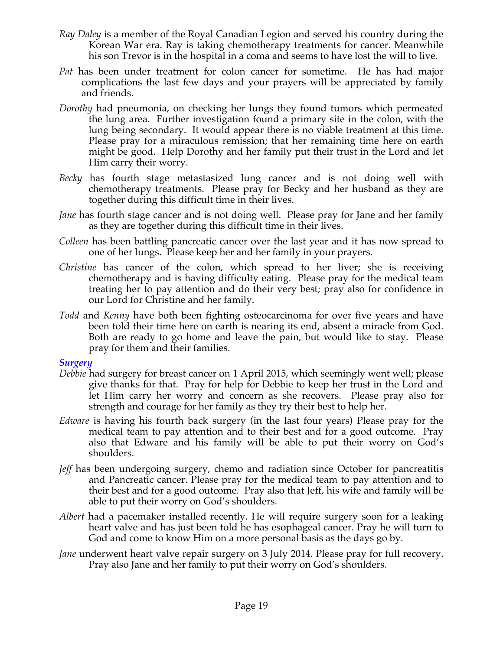- *Ray Daley* is a member of the Royal Canadian Legion and served his country during the Korean War era. Ray is taking chemotherapy treatments for cancer. Meanwhile his son Trevor is in the hospital in a coma and seems to have lost the will to live.
- *Pat* has been under treatment for colon cancer for sometime. He has had major complications the last few days and your prayers will be appreciated by family and friends.
- *Dorothy* had pneumonia, on checking her lungs they found tumors which permeated the lung area. Further investigation found a primary site in the colon, with the lung being secondary. It would appear there is no viable treatment at this time. Please pray for a miraculous remission; that her remaining time here on earth might be good. Help Dorothy and her family put their trust in the Lord and let Him carry their worry.
- *Becky* has fourth stage metastasized lung cancer and is not doing well with chemotherapy treatments. Please pray for Becky and her husband as they are together during this difficult time in their lives.
- *Jane* has fourth stage cancer and is not doing well. Please pray for Jane and her family as they are together during this difficult time in their lives.
- *Colleen* has been battling pancreatic cancer over the last year and it has now spread to one of her lungs. Please keep her and her family in your prayers.
- *Christine* has cancer of the colon, which spread to her liver; she is receiving chemotherapy and is having difficulty eating. Please pray for the medical team treating her to pay attention and do their very best; pray also for confidence in our Lord for Christine and her family.
- *Todd* and *Kenny* have both been fighting osteocarcinoma for over five years and have been told their time here on earth is nearing its end, absent a miracle from God. Both are ready to go home and leave the pain, but would like to stay. Please pray for them and their families.

#### *Surgery*

- *Debbie* had surgery for breast cancer on 1 April 2015, which seemingly went well; please give thanks for that. Pray for help for Debbie to keep her trust in the Lord and let Him carry her worry and concern as she recovers. Please pray also for strength and courage for her family as they try their best to help her.
- *Edware* is having his fourth back surgery (in the last four years) Please pray for the medical team to pay attention and to their best and for a good outcome. Pray also that Edware and his family will be able to put their worry on God's shoulders.
- *Jeff* has been undergoing surgery, chemo and radiation since October for pancreatitis and Pancreatic cancer. Please pray for the medical team to pay attention and to their best and for a good outcome. Pray also that Jeff, his wife and family will be able to put their worry on God's shoulders.
- *Albert* had a pacemaker installed recently. He will require surgery soon for a leaking heart valve and has just been told he has esophageal cancer. Pray he will turn to God and come to know Him on a more personal basis as the days go by.
- *Jane* underwent heart valve repair surgery on 3 July 2014. Please pray for full recovery. Pray also Jane and her family to put their worry on God's shoulders.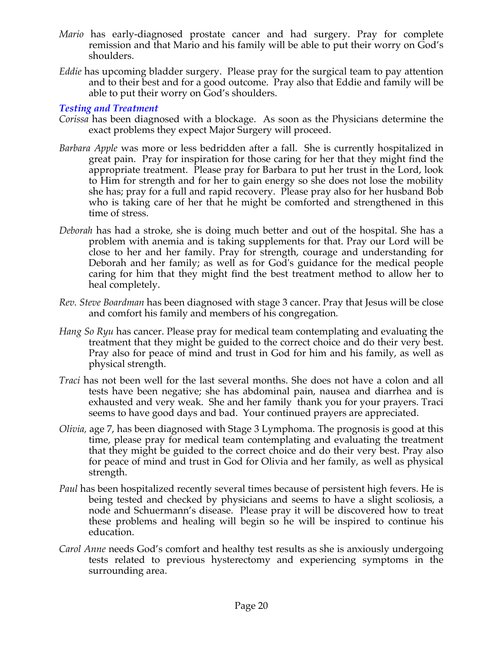- *Mario* has early-diagnosed prostate cancer and had surgery. Pray for complete remission and that Mario and his family will be able to put their worry on God's shoulders.
- *Eddie* has upcoming bladder surgery. Please pray for the surgical team to pay attention and to their best and for a good outcome. Pray also that Eddie and family will be able to put their worry on God's shoulders.

### *Testing and Treatment*

- *Corissa* has been diagnosed with a blockage. As soon as the Physicians determine the exact problems they expect Major Surgery will proceed.
- *Barbara Apple* was more or less bedridden after a fall. She is currently hospitalized in great pain. Pray for inspiration for those caring for her that they might find the appropriate treatment. Please pray for Barbara to put her trust in the Lord, look to Him for strength and for her to gain energy so she does not lose the mobility she has; pray for a full and rapid recovery. Please pray also for her husband Bob who is taking care of her that he might be comforted and strengthened in this time of stress.
- *Deborah* has had a stroke, she is doing much better and out of the hospital. She has a problem with anemia and is taking supplements for that. Pray our Lord will be close to her and her family. Pray for strength, courage and understanding for Deborah and her family; as well as for God's guidance for the medical people caring for him that they might find the best treatment method to allow her to heal completely.
- *Rev. Steve Boardman* has been diagnosed with stage 3 cancer. Pray that Jesus will be close and comfort his family and members of his congregation*.*
- *Hang So Ryu* has cancer. Please pray for medical team contemplating and evaluating the treatment that they might be guided to the correct choice and do their very best. Pray also for peace of mind and trust in God for him and his family, as well as physical strength.
- *Traci* has not been well for the last several months. She does not have a colon and all tests have been negative; she has abdominal pain, nausea and diarrhea and is exhausted and very weak. She and her family thank you for your prayers. Traci seems to have good days and bad. Your continued prayers are appreciated.
- *Olivia,* age 7, has been diagnosed with Stage 3 Lymphoma. The prognosis is good at this time, please pray for medical team contemplating and evaluating the treatment that they might be guided to the correct choice and do their very best. Pray also for peace of mind and trust in God for Olivia and her family, as well as physical strength.
- *Paul* has been hospitalized recently several times because of persistent high fevers. He is being tested and checked by physicians and seems to have a slight scoliosis, a node and Schuermann's disease. Please pray it will be discovered how to treat these problems and healing will begin so he will be inspired to continue his education.
- *Carol Anne* needs God's comfort and healthy test results as she is anxiously undergoing tests related to previous hysterectomy and experiencing symptoms in the surrounding area.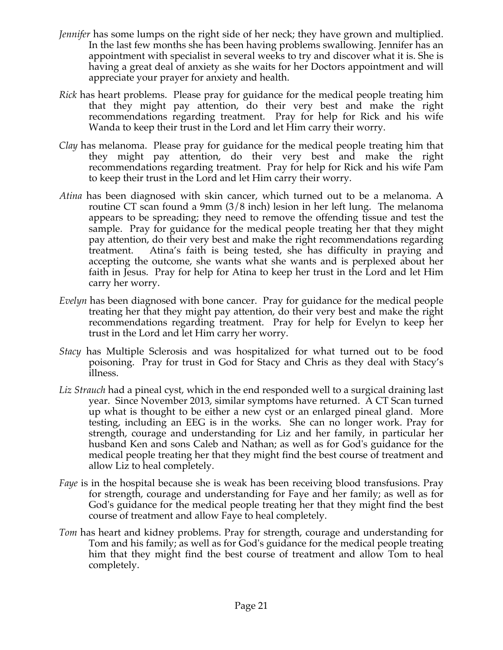- *Jennifer* has some lumps on the right side of her neck; they have grown and multiplied. In the last few months she has been having problems swallowing. Jennifer has an appointment with specialist in several weeks to try and discover what it is. She is having a great deal of anxiety as she waits for her Doctors appointment and will appreciate your prayer for anxiety and health.
- *Rick* has heart problems. Please pray for guidance for the medical people treating him that they might pay attention, do their very best and make the right recommendations regarding treatment. Pray for help for Rick and his wife Wanda to keep their trust in the Lord and let Him carry their worry.
- *Clay* has melanoma. Please pray for guidance for the medical people treating him that they might pay attention, do their very best and make the right recommendations regarding treatment. Pray for help for Rick and his wife Pam to keep their trust in the Lord and let Him carry their worry.
- *Atina* has been diagnosed with skin cancer, which turned out to be a melanoma. A routine CT scan found a 9mm (3/8 inch) lesion in her left lung. The melanoma appears to be spreading; they need to remove the offending tissue and test the sample. Pray for guidance for the medical people treating her that they might pay attention, do their very best and make the right recommendations regarding treatment. Atina's faith is being tested, she has difficulty in praying and accepting the outcome, she wants what she wants and is perplexed about her faith in Jesus. Pray for help for Atina to keep her trust in the Lord and let Him carry her worry.
- *Evelyn* has been diagnosed with bone cancer. Pray for guidance for the medical people treating her that they might pay attention, do their very best and make the right recommendations regarding treatment. Pray for help for Evelyn to keep her trust in the Lord and let Him carry her worry.
- *Stacy* has Multiple Sclerosis and was hospitalized for what turned out to be food poisoning. Pray for trust in God for Stacy and Chris as they deal with Stacy's illness.
- *Liz Strauch* had a pineal cyst, which in the end responded well to a surgical draining last year. Since November 2013, similar symptoms have returned. A CT Scan turned up what is thought to be either a new cyst or an enlarged pineal gland. More testing, including an EEG is in the works. She can no longer work. Pray for strength, courage and understanding for Liz and her family, in particular her husband Ken and sons Caleb and Nathan; as well as for God's guidance for the medical people treating her that they might find the best course of treatment and allow Liz to heal completely.
- *Faye* is in the hospital because she is weak has been receiving blood transfusions. Pray for strength, courage and understanding for Faye and her family; as well as for God's guidance for the medical people treating her that they might find the best course of treatment and allow Faye to heal completely.
- *Tom* has heart and kidney problems. Pray for strength, courage and understanding for Tom and his family; as well as for God's guidance for the medical people treating him that they might find the best course of treatment and allow Tom to heal completely.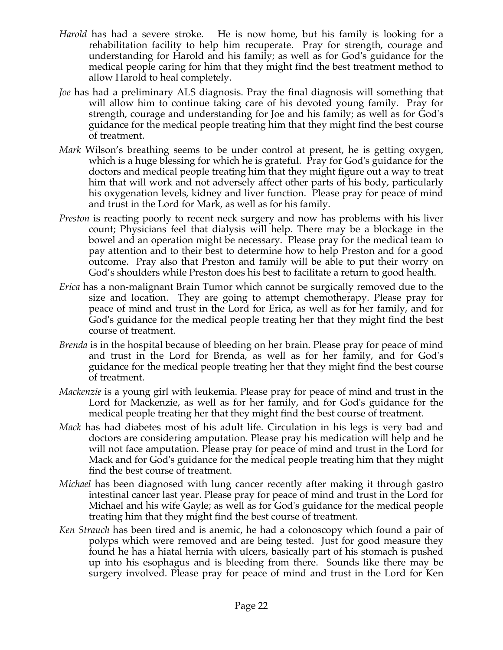- *Harold* has had a severe stroke. He is now home, but his family is looking for a rehabilitation facility to help him recuperate. Pray for strength, courage and understanding for Harold and his family; as well as for God's guidance for the medical people caring for him that they might find the best treatment method to allow Harold to heal completely.
- *Joe* has had a preliminary ALS diagnosis. Pray the final diagnosis will something that will allow him to continue taking care of his devoted young family. Pray for strength, courage and understanding for Joe and his family; as well as for God's guidance for the medical people treating him that they might find the best course of treatment.
- *Mark* Wilson's breathing seems to be under control at present, he is getting oxygen, which is a huge blessing for which he is grateful. Pray for God's guidance for the doctors and medical people treating him that they might figure out a way to treat him that will work and not adversely affect other parts of his body, particularly his oxygenation levels, kidney and liver function. Please pray for peace of mind and trust in the Lord for Mark, as well as for his family.
- *Preston* is reacting poorly to recent neck surgery and now has problems with his liver count; Physicians feel that dialysis will help. There may be a blockage in the bowel and an operation might be necessary. Please pray for the medical team to pay attention and to their best to determine how to help Preston and for a good outcome. Pray also that Preston and family will be able to put their worry on God's shoulders while Preston does his best to facilitate a return to good health.
- *Erica* has a non-malignant Brain Tumor which cannot be surgically removed due to the size and location. They are going to attempt chemotherapy. Please pray for peace of mind and trust in the Lord for Erica, as well as for her family, and for God's guidance for the medical people treating her that they might find the best course of treatment.
- *Brenda* is in the hospital because of bleeding on her brain. Please pray for peace of mind and trust in the Lord for Brenda, as well as for her family, and for God's guidance for the medical people treating her that they might find the best course of treatment.
- *Mackenzie* is a young girl with leukemia. Please pray for peace of mind and trust in the Lord for Mackenzie, as well as for her family, and for God's guidance for the medical people treating her that they might find the best course of treatment.
- *Mack* has had diabetes most of his adult life. Circulation in his legs is very bad and doctors are considering amputation. Please pray his medication will help and he will not face amputation. Please pray for peace of mind and trust in the Lord for Mack and for God's guidance for the medical people treating him that they might find the best course of treatment.
- *Michael* has been diagnosed with lung cancer recently after making it through gastro intestinal cancer last year. Please pray for peace of mind and trust in the Lord for Michael and his wife Gayle; as well as for God's guidance for the medical people treating him that they might find the best course of treatment.
- *Ken Strauch* has been tired and is anemic, he had a colonoscopy which found a pair of polyps which were removed and are being tested. Just for good measure they found he has a hiatal hernia with ulcers, basically part of his stomach is pushed up into his esophagus and is bleeding from there. Sounds like there may be surgery involved. Please pray for peace of mind and trust in the Lord for Ken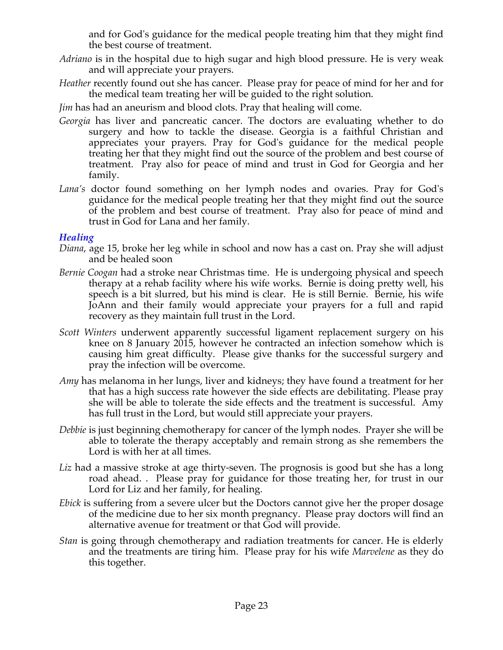and for God's guidance for the medical people treating him that they might find the best course of treatment.

- *Adriano* is in the hospital due to high sugar and high blood pressure. He is very weak and will appreciate your prayers.
- *Heather* recently found out she has cancer. Please pray for peace of mind for her and for the medical team treating her will be guided to the right solution.

*Jim* has had an aneurism and blood clots. Pray that healing will come.

- *Georgia* has liver and pancreatic cancer. The doctors are evaluating whether to do surgery and how to tackle the disease. Georgia is a faithful Christian and appreciates your prayers. Pray for God's guidance for the medical people treating her that they might find out the source of the problem and best course of treatment. Pray also for peace of mind and trust in God for Georgia and her family.
- *Lana's* doctor found something on her lymph nodes and ovaries. Pray for God's guidance for the medical people treating her that they might find out the source of the problem and best course of treatment. Pray also for peace of mind and trust in God for Lana and her family.

### *Healing*

- *Diana*, age 15, broke her leg while in school and now has a cast on. Pray she will adjust and be healed soon
- *Bernie Coogan* had a stroke near Christmas time. He is undergoing physical and speech therapy at a rehab facility where his wife works. Bernie is doing pretty well, his speech is a bit slurred, but his mind is clear. He is still Bernie. Bernie, his wife JoAnn and their family would appreciate your prayers for a full and rapid recovery as they maintain full trust in the Lord.
- *Scott Winters* underwent apparently successful ligament replacement surgery on his knee on 8 January 2015, however he contracted an infection somehow which is causing him great difficulty. Please give thanks for the successful surgery and pray the infection will be overcome.
- *Amy* has melanoma in her lungs, liver and kidneys; they have found a treatment for her that has a high success rate however the side effects are debilitating. Please pray she will be able to tolerate the side effects and the treatment is successful. Amy has full trust in the Lord, but would still appreciate your prayers.
- *Debbie* is just beginning chemotherapy for cancer of the lymph nodes. Prayer she will be able to tolerate the therapy acceptably and remain strong as she remembers the Lord is with her at all times.
- Liz had a massive stroke at age thirty-seven. The prognosis is good but she has a long road ahead. . Please pray for guidance for those treating her, for trust in our Lord for Liz and her family, for healing.
- *Ebick* is suffering from a severe ulcer but the Doctors cannot give her the proper dosage of the medicine due to her six month pregnancy. Please pray doctors will find an alternative avenue for treatment or that God will provide.
- *Stan* is going through chemotherapy and radiation treatments for cancer. He is elderly and the treatments are tiring him. Please pray for his wife *Marvelene* as they do this together.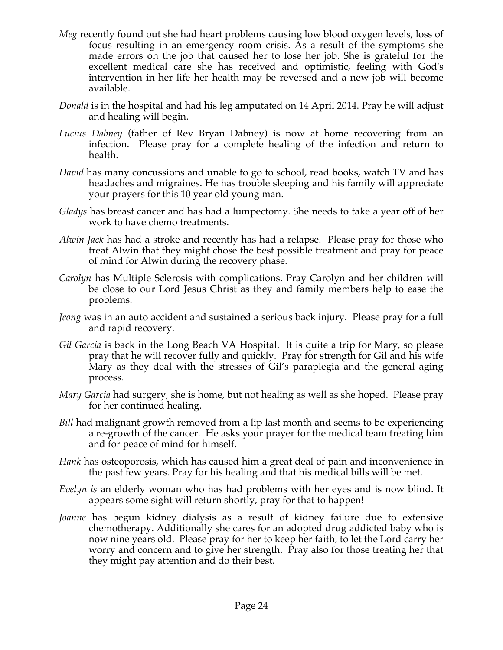- *Meg* recently found out she had heart problems causing low blood oxygen levels, loss of focus resulting in an emergency room crisis. As a result of the symptoms she made errors on the job that caused her to lose her job. She is grateful for the excellent medical care she has received and optimistic, feeling with God's intervention in her life her health may be reversed and a new job will become available.
- *Donald* is in the hospital and had his leg amputated on 14 April 2014. Pray he will adjust and healing will begin.
- *Lucius Dabney* (father of Rev Bryan Dabney) is now at home recovering from an infection. Please pray for a complete healing of the infection and return to health.
- *David* has many concussions and unable to go to school, read books, watch TV and has headaches and migraines. He has trouble sleeping and his family will appreciate your prayers for this 10 year old young man.
- *Gladys* has breast cancer and has had a lumpectomy. She needs to take a year off of her work to have chemo treatments.
- *Alwin Jack* has had a stroke and recently has had a relapse. Please pray for those who treat Alwin that they might chose the best possible treatment and pray for peace of mind for Alwin during the recovery phase.
- *Carolyn* has Multiple Sclerosis with complications. Pray Carolyn and her children will be close to our Lord Jesus Christ as they and family members help to ease the problems.
- *Jeong* was in an auto accident and sustained a serious back injury. Please pray for a full and rapid recovery.
- *Gil Garcia* is back in the Long Beach VA Hospital. It is quite a trip for Mary, so please pray that he will recover fully and quickly. Pray for strength for Gil and his wife Mary as they deal with the stresses of Gil's paraplegia and the general aging process.
- *Mary Garcia* had surgery, she is home, but not healing as well as she hoped. Please pray for her continued healing.
- *Bill* had malignant growth removed from a lip last month and seems to be experiencing a re-growth of the cancer. He asks your prayer for the medical team treating him and for peace of mind for himself.
- *Hank* has osteoporosis, which has caused him a great deal of pain and inconvenience in the past few years. Pray for his healing and that his medical bills will be met.
- *Evelyn is* an elderly woman who has had problems with her eyes and is now blind. It appears some sight will return shortly, pray for that to happen!
- *Joanne* has begun kidney dialysis as a result of kidney failure due to extensive chemotherapy. Additionally she cares for an adopted drug addicted baby who is now nine years old. Please pray for her to keep her faith, to let the Lord carry her worry and concern and to give her strength. Pray also for those treating her that they might pay attention and do their best.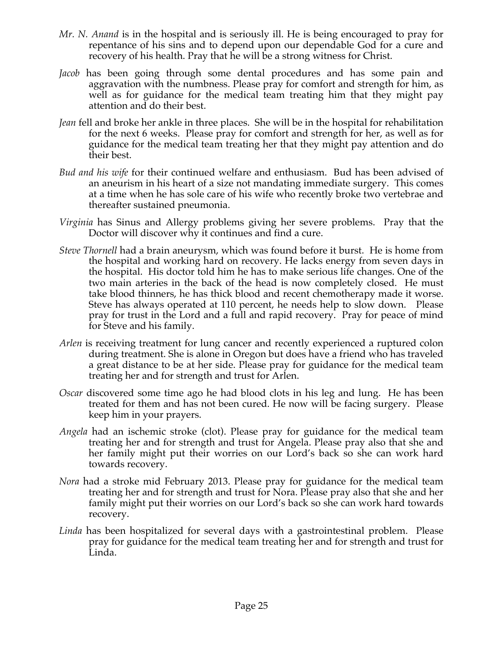- *Mr. N. Anand* is in the hospital and is seriously ill. He is being encouraged to pray for repentance of his sins and to depend upon our dependable God for a cure and recovery of his health. Pray that he will be a strong witness for Christ.
- *Jacob* has been going through some dental procedures and has some pain and aggravation with the numbness. Please pray for comfort and strength for him, as well as for guidance for the medical team treating him that they might pay attention and do their best.
- *Jean* fell and broke her ankle in three places. She will be in the hospital for rehabilitation for the next 6 weeks. Please pray for comfort and strength for her, as well as for guidance for the medical team treating her that they might pay attention and do their best.
- *Bud and his wife* for their continued welfare and enthusiasm. Bud has been advised of an aneurism in his heart of a size not mandating immediate surgery. This comes at a time when he has sole care of his wife who recently broke two vertebrae and thereafter sustained pneumonia.
- *Virginia* has Sinus and Allergy problems giving her severe problems. Pray that the Doctor will discover why it continues and find a cure.
- *Steve Thornell* had a brain aneurysm, which was found before it burst. He is home from the hospital and working hard on recovery. He lacks energy from seven days in the hospital. His doctor told him he has to make serious life changes. One of the two main arteries in the back of the head is now completely closed. He must take blood thinners, he has thick blood and recent chemotherapy made it worse. Steve has always operated at 110 percent, he needs help to slow down. Please pray for trust in the Lord and a full and rapid recovery. Pray for peace of mind for Steve and his family.
- *Arlen* is receiving treatment for lung cancer and recently experienced a ruptured colon during treatment. She is alone in Oregon but does have a friend who has traveled a great distance to be at her side. Please pray for guidance for the medical team treating her and for strength and trust for Arlen.
- *Oscar* discovered some time ago he had blood clots in his leg and lung. He has been treated for them and has not been cured. He now will be facing surgery. Please keep him in your prayers.
- *Angela* had an ischemic stroke (clot). Please pray for guidance for the medical team treating her and for strength and trust for Angela. Please pray also that she and her family might put their worries on our Lord's back so she can work hard towards recovery.
- *Nora* had a stroke mid February 2013. Please pray for guidance for the medical team treating her and for strength and trust for Nora. Please pray also that she and her family might put their worries on our Lord's back so she can work hard towards recovery.
- *Linda* has been hospitalized for several days with a gastrointestinal problem. Please pray for guidance for the medical team treating her and for strength and trust for Linda.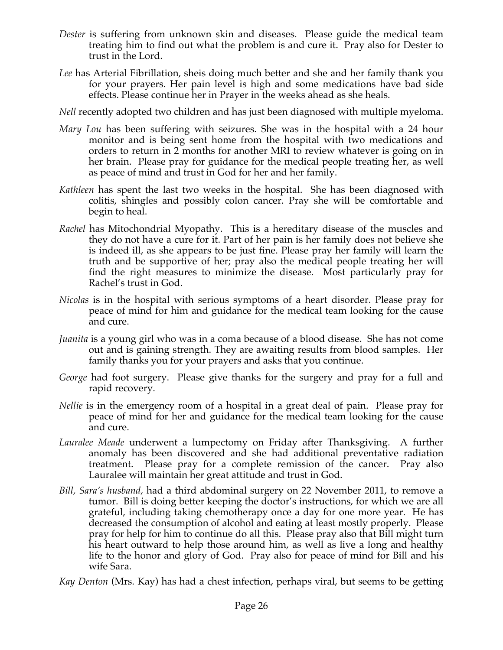- *Dester* is suffering from unknown skin and diseases. Please guide the medical team treating him to find out what the problem is and cure it. Pray also for Dester to trust in the Lord.
- *Lee* has Arterial Fibrillation, sheis doing much better and she and her family thank you for your prayers. Her pain level is high and some medications have bad side effects. Please continue her in Prayer in the weeks ahead as she heals.
- *Nell* recently adopted two children and has just been diagnosed with multiple myeloma.
- *Mary Lou* has been suffering with seizures. She was in the hospital with a 24 hour monitor and is being sent home from the hospital with two medications and orders to return in 2 months for another MRI to review whatever is going on in her brain. Please pray for guidance for the medical people treating her, as well as peace of mind and trust in God for her and her family.
- *Kathleen* has spent the last two weeks in the hospital. She has been diagnosed with colitis, shingles and possibly colon cancer. Pray she will be comfortable and begin to heal.
- *Rachel* has Mitochondrial Myopathy. This is a hereditary disease of the muscles and they do not have a cure for it. Part of her pain is her family does not believe she is indeed ill, as she appears to be just fine. Please pray her family will learn the truth and be supportive of her; pray also the medical people treating her will find the right measures to minimize the disease. Most particularly pray for Rachel's trust in God.
- *Nicolas* is in the hospital with serious symptoms of a heart disorder. Please pray for peace of mind for him and guidance for the medical team looking for the cause and cure.
- *Juanita* is a young girl who was in a coma because of a blood disease. She has not come out and is gaining strength. They are awaiting results from blood samples. Her family thanks you for your prayers and asks that you continue.
- *George* had foot surgery. Please give thanks for the surgery and pray for a full and rapid recovery.
- *Nellie* is in the emergency room of a hospital in a great deal of pain. Please pray for peace of mind for her and guidance for the medical team looking for the cause and cure.
- *Lauralee Meade* underwent a lumpectomy on Friday after Thanksgiving. A further anomaly has been discovered and she had additional preventative radiation treatment. Please pray for a complete remission of the cancer. Pray also Lauralee will maintain her great attitude and trust in God.
- *Bill, Sara's husband,* had a third abdominal surgery on 22 November 2011, to remove a tumor. Bill is doing better keeping the doctor's instructions, for which we are all grateful, including taking chemotherapy once a day for one more year. He has decreased the consumption of alcohol and eating at least mostly properly. Please pray for help for him to continue do all this. Please pray also that Bill might turn his heart outward to help those around him, as well as live a long and healthy life to the honor and glory of God. Pray also for peace of mind for Bill and his wife Sara.
- *Kay Denton* (Mrs. Kay) has had a chest infection, perhaps viral, but seems to be getting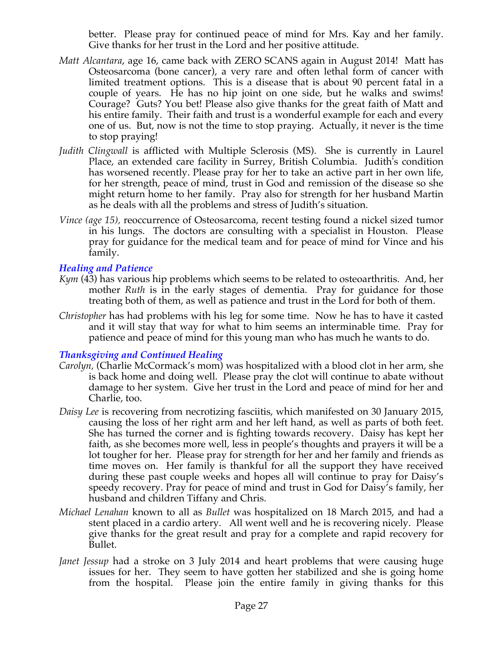better. Please pray for continued peace of mind for Mrs. Kay and her family. Give thanks for her trust in the Lord and her positive attitude.

- *Matt Alcantara*, age 16, came back with ZERO SCANS again in August 2014! Matt has Osteosarcoma (bone cancer), a very rare and often lethal form of cancer with limited treatment options. This is a disease that is about 90 percent fatal in a couple of years. He has no hip joint on one side, but he walks and swims! Courage? Guts? You bet! Please also give thanks for the great faith of Matt and his entire family. Their faith and trust is a wonderful example for each and every one of us. But, now is not the time to stop praying. Actually, it never is the time to stop praying!
- *Judith Clingwall* is afflicted with Multiple Sclerosis (MS). She is currently in Laurel Place, an extended care facility in Surrey, British Columbia. Judith's condition has worsened recently. Please pray for her to take an active part in her own life, for her strength, peace of mind, trust in God and remission of the disease so she might return home to her family. Pray also for strength for her husband Martin as he deals with all the problems and stress of Judith's situation.
- *Vince (age 15),* reoccurrence of Osteosarcoma, recent testing found a nickel sized tumor in his lungs. The doctors are consulting with a specialist in Houston. Please pray for guidance for the medical team and for peace of mind for Vince and his family.

### *Healing and Patience*

- *Kym* (43) has various hip problems which seems to be related to osteoarthritis. And, her mother *Ruth* is in the early stages of dementia. Pray for guidance for those treating both of them, as well as patience and trust in the Lord for both of them.
- *Christopher* has had problems with his leg for some time. Now he has to have it casted and it will stay that way for what to him seems an interminable time. Pray for patience and peace of mind for this young man who has much he wants to do.

#### *Thanksgiving and Continued Healing*

- *Carolyn,* (Charlie McCormack's mom) was hospitalized with a blood clot in her arm, she is back home and doing well. Please pray the clot will continue to abate without damage to her system. Give her trust in the Lord and peace of mind for her and Charlie, too.
- *Daisy Lee* is recovering from necrotizing fasciitis, which manifested on 30 January 2015, causing the loss of her right arm and her left hand, as well as parts of both feet. She has turned the corner and is fighting towards recovery. Daisy has kept her faith, as she becomes more well, less in people's thoughts and prayers it will be a lot tougher for her. Please pray for strength for her and her family and friends as time moves on. Her family is thankful for all the support they have received during these past couple weeks and hopes all will continue to pray for Daisy's speedy recovery. Pray for peace of mind and trust in God for Daisy's family, her husband and children Tiffany and Chris.
- *Michael Lenahan* known to all as *Bullet* was hospitalized on 18 March 2015, and had a stent placed in a cardio artery. All went well and he is recovering nicely. Please give thanks for the great result and pray for a complete and rapid recovery for Bullet.
- *Janet Jessup* had a stroke on 3 July 2014 and heart problems that were causing huge issues for her. They seem to have gotten her stabilized and she is going home from the hospital. Please join the entire family in giving thanks for this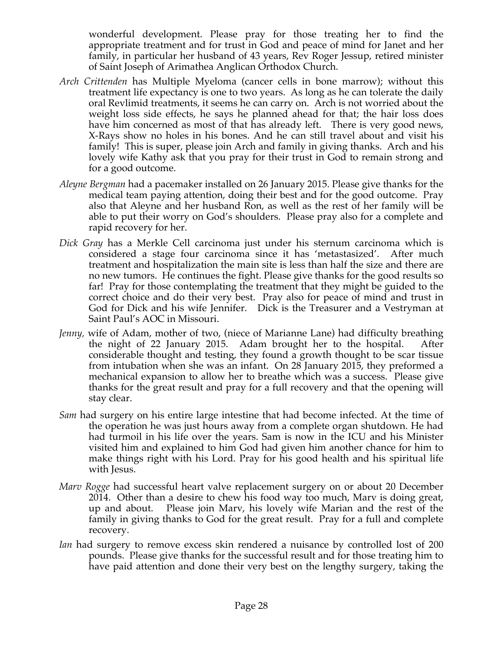wonderful development. Please pray for those treating her to find the appropriate treatment and for trust in God and peace of mind for Janet and her family, in particular her husband of 43 years, Rev Roger Jessup, retired minister of Saint Joseph of Arimathea Anglican Orthodox Church.

- *Arch Crittenden* has Multiple Myeloma (cancer cells in bone marrow); without this treatment life expectancy is one to two years. As long as he can tolerate the daily oral Revlimid treatments, it seems he can carry on. Arch is not worried about the weight loss side effects, he says he planned ahead for that; the hair loss does have him concerned as most of that has already left. There is very good news, X-Rays show no holes in his bones. And he can still travel about and visit his family! This is super, please join Arch and family in giving thanks. Arch and his lovely wife Kathy ask that you pray for their trust in God to remain strong and for a good outcome.
- *Aleyne Bergman* had a pacemaker installed on 26 January 2015. Please give thanks for the medical team paying attention, doing their best and for the good outcome. Pray also that Aleyne and her husband Ron, as well as the rest of her family will be able to put their worry on God's shoulders. Please pray also for a complete and rapid recovery for her.
- *Dick Gray* has a Merkle Cell carcinoma just under his sternum carcinoma which is considered a stage four carcinoma since it has 'metastasized'. After much treatment and hospitalization the main site is less than half the size and there are no new tumors. He continues the fight. Please give thanks for the good results so far! Pray for those contemplating the treatment that they might be guided to the correct choice and do their very best. Pray also for peace of mind and trust in God for Dick and his wife Jennifer. Dick is the Treasurer and a Vestryman at Saint Paul's AOC in Missouri.
- *Jenny,* wife of Adam, mother of two, (niece of Marianne Lane) had difficulty breathing the night of 22 January 2015. Adam brought her to the hospital. After considerable thought and testing, they found a growth thought to be scar tissue from intubation when she was an infant. On 28 January 2015, they preformed a mechanical expansion to allow her to breathe which was a success. Please give thanks for the great result and pray for a full recovery and that the opening will stay clear.
- *Sam* had surgery on his entire large intestine that had become infected. At the time of the operation he was just hours away from a complete organ shutdown. He had had turmoil in his life over the years. Sam is now in the ICU and his Minister visited him and explained to him God had given him another chance for him to make things right with his Lord. Pray for his good health and his spiritual life with Jesus.
- *Marv Rogge* had successful heart valve replacement surgery on or about 20 December 2014. Other than a desire to chew his food way too much, Marv is doing great, up and about. Please join Marv, his lovely wife Marian and the rest of the family in giving thanks to God for the great result. Pray for a full and complete recovery.
- *Ian* had surgery to remove excess skin rendered a nuisance by controlled lost of 200 pounds. Please give thanks for the successful result and for those treating him to have paid attention and done their very best on the lengthy surgery, taking the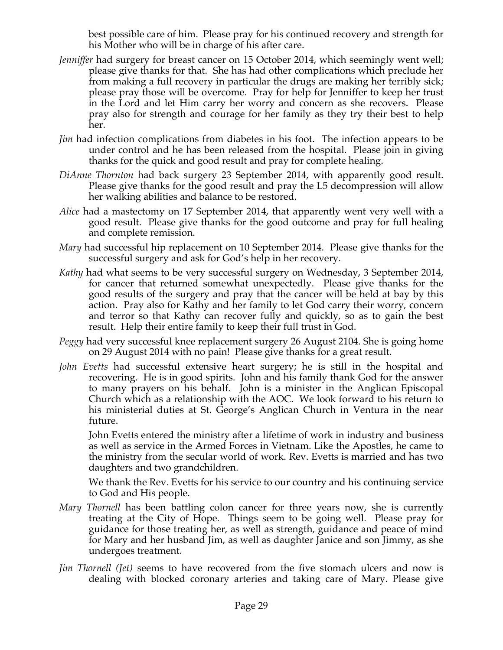best possible care of him. Please pray for his continued recovery and strength for his Mother who will be in charge of his after care.

- *Jenniffer* had surgery for breast cancer on 15 October 2014, which seemingly went well; please give thanks for that. She has had other complications which preclude her from making a full recovery in particular the drugs are making her terribly sick; please pray those will be overcome. Pray for help for Jenniffer to keep her trust in the Lord and let Him carry her worry and concern as she recovers. Please pray also for strength and courage for her family as they try their best to help her.
- *Jim* had infection complications from diabetes in his foot. The infection appears to be under control and he has been released from the hospital. Please join in giving thanks for the quick and good result and pray for complete healing.
- *DiAnne Thornton* had back surgery 23 September 2014, with apparently good result. Please give thanks for the good result and pray the L5 decompression will allow her walking abilities and balance to be restored.
- *Alice* had a mastectomy on 17 September 2014, that apparently went very well with a good result. Please give thanks for the good outcome and pray for full healing and complete remission.
- *Mary* had successful hip replacement on 10 September 2014. Please give thanks for the successful surgery and ask for God's help in her recovery.
- *Kathy* had what seems to be very successful surgery on Wednesday, 3 September 2014, for cancer that returned somewhat unexpectedly. Please give thanks for the good results of the surgery and pray that the cancer will be held at bay by this action. Pray also for Kathy and her family to let God carry their worry, concern and terror so that Kathy can recover fully and quickly, so as to gain the best result. Help their entire family to keep their full trust in God.
- *Peggy* had very successful knee replacement surgery 26 August 2104. She is going home on 29 August 2014 with no pain! Please give thanks for a great result.
- *John Evetts* had successful extensive heart surgery; he is still in the hospital and recovering. He is in good spirits. John and his family thank God for the answer to many prayers on his behalf. John is a minister in the Anglican Episcopal Church which as a relationship with the AOC. We look forward to his return to his ministerial duties at St. George's Anglican Church in Ventura in the near future.

John Evetts entered the ministry after a lifetime of work in industry and business as well as service in the Armed Forces in Vietnam. Like the Apostles, he came to the ministry from the secular world of work. Rev. Evetts is married and has two daughters and two grandchildren.

We thank the Rev. Evetts for his service to our country and his continuing service to God and His people.

- *Mary Thornell* has been battling colon cancer for three years now, she is currently treating at the City of Hope. Things seem to be going well. Please pray for guidance for those treating her, as well as strength, guidance and peace of mind for Mary and her husband Jim, as well as daughter Janice and son Jimmy, as she undergoes treatment.
- *Jim Thornell (Jet)* seems to have recovered from the five stomach ulcers and now is dealing with blocked coronary arteries and taking care of Mary. Please give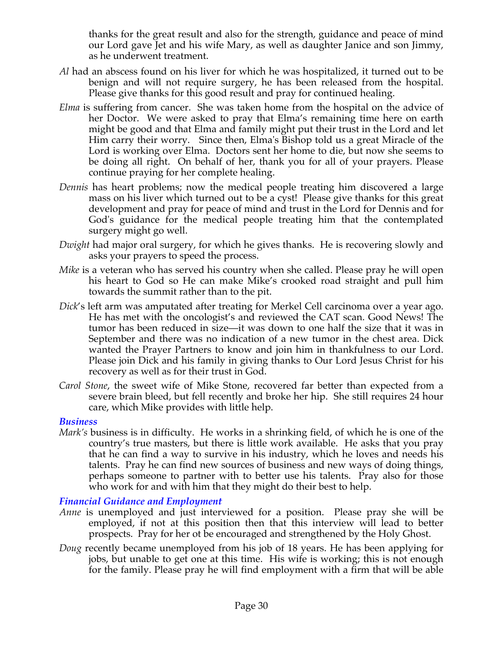thanks for the great result and also for the strength, guidance and peace of mind our Lord gave Jet and his wife Mary, as well as daughter Janice and son Jimmy, as he underwent treatment.

- *Al* had an abscess found on his liver for which he was hospitalized, it turned out to be benign and will not require surgery, he has been released from the hospital. Please give thanks for this good result and pray for continued healing.
- *Elma* is suffering from cancer. She was taken home from the hospital on the advice of her Doctor. We were asked to pray that Elma's remaining time here on earth might be good and that Elma and family might put their trust in the Lord and let Him carry their worry. Since then, Elma's Bishop told us a great Miracle of the Lord is working over Elma. Doctors sent her home to die, but now she seems to be doing all right. On behalf of her, thank you for all of your prayers. Please continue praying for her complete healing.
- *Dennis* has heart problems; now the medical people treating him discovered a large mass on his liver which turned out to be a cyst! Please give thanks for this great development and pray for peace of mind and trust in the Lord for Dennis and for God's guidance for the medical people treating him that the contemplated surgery might go well.
- *Dwight* had major oral surgery, for which he gives thanks. He is recovering slowly and asks your prayers to speed the process.
- *Mike* is a veteran who has served his country when she called. Please pray he will open his heart to God so He can make Mike's crooked road straight and pull him towards the summit rather than to the pit.
- *Dick*'s left arm was amputated after treating for Merkel Cell carcinoma over a year ago. He has met with the oncologist's and reviewed the CAT scan. Good News! The tumor has been reduced in size—it was down to one half the size that it was in September and there was no indication of a new tumor in the chest area. Dick wanted the Prayer Partners to know and join him in thankfulness to our Lord. Please join Dick and his family in giving thanks to Our Lord Jesus Christ for his recovery as well as for their trust in God.
- *Carol Stone*, the sweet wife of Mike Stone, recovered far better than expected from a severe brain bleed, but fell recently and broke her hip. She still requires 24 hour care, which Mike provides with little help.

#### *Business*

*Mark's* business is in difficulty. He works in a shrinking field, of which he is one of the country's true masters, but there is little work available. He asks that you pray that he can find a way to survive in his industry, which he loves and needs his talents. Pray he can find new sources of business and new ways of doing things, perhaps someone to partner with to better use his talents. Pray also for those who work for and with him that they might do their best to help.

#### *Financial Guidance and Employment*

- *Anne* is unemployed and just interviewed for a position. Please pray she will be employed, if not at this position then that this interview will lead to better prospects. Pray for her ot be encouraged and strengthened by the Holy Ghost.
- *Doug* recently became unemployed from his job of 18 years. He has been applying for jobs, but unable to get one at this time. His wife is working; this is not enough for the family. Please pray he will find employment with a firm that will be able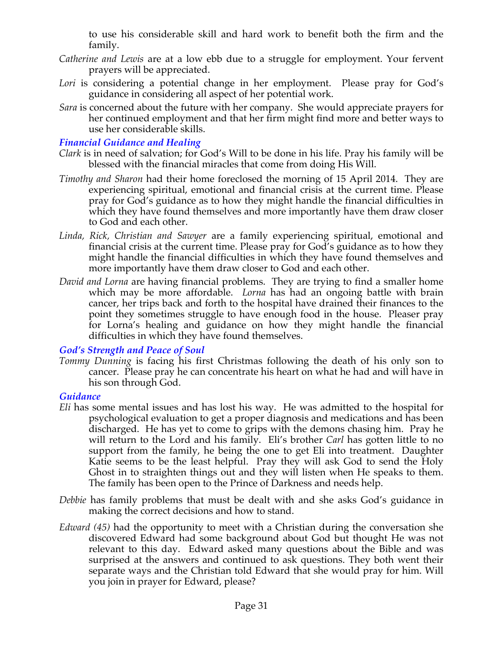to use his considerable skill and hard work to benefit both the firm and the family.

- *Catherine and Lewis* are at a low ebb due to a struggle for employment. Your fervent prayers will be appreciated.
- Lori is considering a potential change in her employment. Please pray for God's guidance in considering all aspect of her potential work.
- *Sara* is concerned about the future with her company. She would appreciate prayers for her continued employment and that her firm might find more and better ways to use her considerable skills.

#### *Financial Guidance and Healing*

- *Clark* is in need of salvation; for God's Will to be done in his life. Pray his family will be blessed with the financial miracles that come from doing His Will.
- *Timothy and Sharon* had their home foreclosed the morning of 15 April 2014. They are experiencing spiritual, emotional and financial crisis at the current time. Please pray for God's guidance as to how they might handle the financial difficulties in which they have found themselves and more importantly have them draw closer to God and each other.
- *Linda, Rick, Christian and Sawyer* are a family experiencing spiritual, emotional and financial crisis at the current time. Please pray for God's guidance as to how they might handle the financial difficulties in which they have found themselves and more importantly have them draw closer to God and each other.
- *David and Lorna* are having financial problems. They are trying to find a smaller home which may be more affordable. *Lorna* has had an ongoing battle with brain cancer, her trips back and forth to the hospital have drained their finances to the point they sometimes struggle to have enough food in the house. Pleaser pray for Lorna's healing and guidance on how they might handle the financial difficulties in which they have found themselves.

#### *God's Strength and Peace of Soul*

*Tommy Dunning* is facing his first Christmas following the death of his only son to cancer. Please pray he can concentrate his heart on what he had and will have in his son through God.

#### *Guidance*

- *Eli* has some mental issues and has lost his way. He was admitted to the hospital for psychological evaluation to get a proper diagnosis and medications and has been discharged. He has yet to come to grips with the demons chasing him. Pray he will return to the Lord and his family. Eli's brother *Carl* has gotten little to no support from the family, he being the one to get Eli into treatment. Daughter Katie seems to be the least helpful. Pray they will ask God to send the Holy Ghost in to straighten things out and they will listen when He speaks to them. The family has been open to the Prince of Darkness and needs help.
- *Debbie* has family problems that must be dealt with and she asks God's guidance in making the correct decisions and how to stand.
- *Edward (45)* had the opportunity to meet with a Christian during the conversation she discovered Edward had some background about God but thought He was not relevant to this day. Edward asked many questions about the Bible and was surprised at the answers and continued to ask questions. They both went their separate ways and the Christian told Edward that she would pray for him. Will you join in prayer for Edward, please?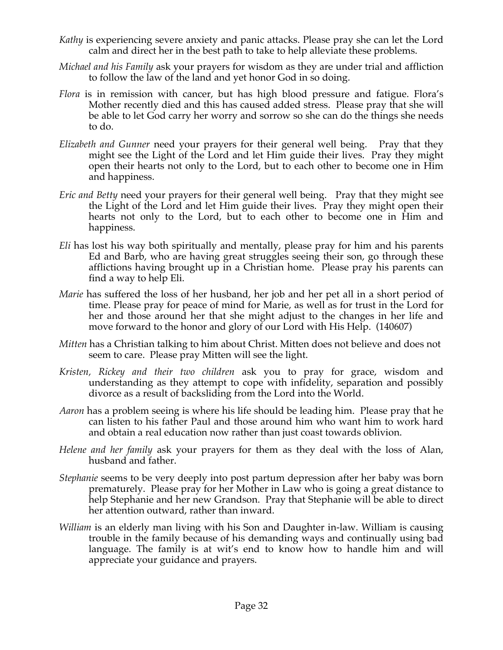- *Kathy* is experiencing severe anxiety and panic attacks. Please pray she can let the Lord calm and direct her in the best path to take to help alleviate these problems.
- *Michael and his Family* ask your prayers for wisdom as they are under trial and affliction to follow the law of the land and yet honor God in so doing.
- *Flora* is in remission with cancer, but has high blood pressure and fatigue. Flora's Mother recently died and this has caused added stress. Please pray that she will be able to let God carry her worry and sorrow so she can do the things she needs to do.
- *Elizabeth and Gunner* need your prayers for their general well being. Pray that they might see the Light of the Lord and let Him guide their lives. Pray they might open their hearts not only to the Lord, but to each other to become one in Him and happiness.
- *Eric and Betty* need your prayers for their general well being. Pray that they might see the Light of the Lord and let Him guide their lives. Pray they might open their hearts not only to the Lord, but to each other to become one in Him and happiness.
- *Eli* has lost his way both spiritually and mentally, please pray for him and his parents Ed and Barb, who are having great struggles seeing their son, go through these afflictions having brought up in a Christian home. Please pray his parents can find a way to help Eli.
- *Marie* has suffered the loss of her husband, her job and her pet all in a short period of time. Please pray for peace of mind for Marie, as well as for trust in the Lord for her and those around her that she might adjust to the changes in her life and move forward to the honor and glory of our Lord with His Help. (140607)
- *Mitten* has a Christian talking to him about Christ. Mitten does not believe and does not seem to care. Please pray Mitten will see the light.
- *Kristen, Rickey and their two children* ask you to pray for grace, wisdom and understanding as they attempt to cope with infidelity, separation and possibly divorce as a result of backsliding from the Lord into the World.
- *Aaron* has a problem seeing is where his life should be leading him. Please pray that he can listen to his father Paul and those around him who want him to work hard and obtain a real education now rather than just coast towards oblivion.
- *Helene and her family* ask your prayers for them as they deal with the loss of Alan, husband and father.
- *Stephanie* seems to be very deeply into post partum depression after her baby was born prematurely. Please pray for her Mother in Law who is going a great distance to help Stephanie and her new Grandson. Pray that Stephanie will be able to direct her attention outward, rather than inward.
- *William* is an elderly man living with his Son and Daughter in-law. William is causing trouble in the family because of his demanding ways and continually using bad language. The family is at wit's end to know how to handle him and will appreciate your guidance and prayers.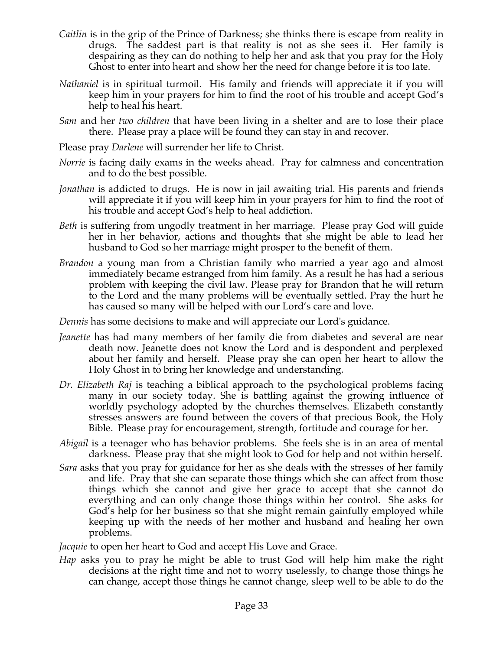- *Caitlin* is in the grip of the Prince of Darkness; she thinks there is escape from reality in drugs. The saddest part is that reality is not as she sees it. Her family is despairing as they can do nothing to help her and ask that you pray for the Holy Ghost to enter into heart and show her the need for change before it is too late.
- *Nathaniel* is in spiritual turmoil. His family and friends will appreciate it if you will keep him in your prayers for him to find the root of his trouble and accept God's help to heal his heart.
- *Sam* and her *two children* that have been living in a shelter and are to lose their place there. Please pray a place will be found they can stay in and recover.
- Please pray *Darlene* will surrender her life to Christ.
- *Norrie* is facing daily exams in the weeks ahead. Pray for calmness and concentration and to do the best possible.
- *Jonathan* is addicted to drugs. He is now in jail awaiting trial. His parents and friends will appreciate it if you will keep him in your prayers for him to find the root of his trouble and accept God's help to heal addiction.
- *Beth* is suffering from ungodly treatment in her marriage. Please pray God will guide her in her behavior, actions and thoughts that she might be able to lead her husband to God so her marriage might prosper to the benefit of them.
- *Brandon* a young man from a Christian family who married a year ago and almost immediately became estranged from him family. As a result he has had a serious problem with keeping the civil law. Please pray for Brandon that he will return to the Lord and the many problems will be eventually settled. Pray the hurt he has caused so many will be helped with our Lord's care and love.
- *Dennis* has some decisions to make and will appreciate our Lord's guidance.
- *Jeanette* has had many members of her family die from diabetes and several are near death now. Jeanette does not know the Lord and is despondent and perplexed about her family and herself. Please pray she can open her heart to allow the Holy Ghost in to bring her knowledge and understanding.
- *Dr. Elizabeth Raj* is teaching a biblical approach to the psychological problems facing many in our society today. She is battling against the growing influence of worldly psychology adopted by the churches themselves. Elizabeth constantly stresses answers are found between the covers of that precious Book, the Holy Bible. Please pray for encouragement, strength, fortitude and courage for her.
- *Abigail* is a teenager who has behavior problems. She feels she is in an area of mental darkness. Please pray that she might look to God for help and not within herself.
- *Sara* asks that you pray for guidance for her as she deals with the stresses of her family and life. Pray that she can separate those things which she can affect from those things which she cannot and give her grace to accept that she cannot do everything and can only change those things within her control. She asks for God's help for her business so that she might remain gainfully employed while keeping up with the needs of her mother and husband and healing her own problems.

*Jacquie* to open her heart to God and accept His Love and Grace.

*Hap* asks you to pray he might be able to trust God will help him make the right decisions at the right time and not to worry uselessly, to change those things he can change, accept those things he cannot change, sleep well to be able to do the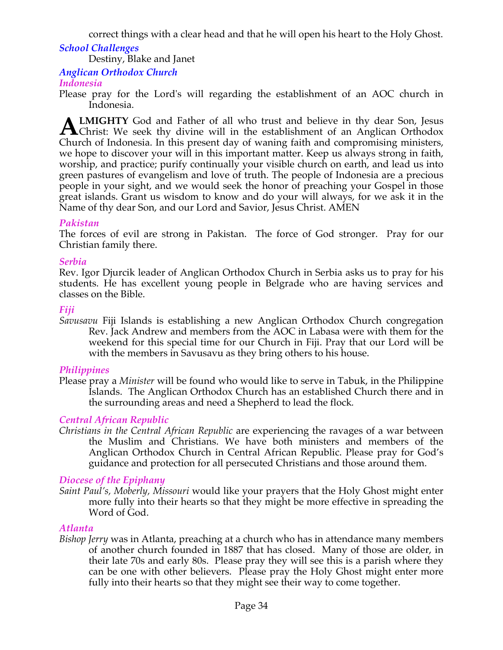correct things with a clear head and that he will open his heart to the Holy Ghost.

### *School Challenges*

Destiny, Blake and Janet

### *Anglican Orthodox Church*

### *Indonesia*

Please pray for the Lord's will regarding the establishment of an AOC church in Indonesia.

**LMIGHTY** God and Father of all who trust and believe in thy dear Son, Jesus **ALMIGHTY** God and Father of all who trust and believe in thy dear Son, Jesus Christ: We seek thy divine will in the establishment of an Anglican Orthodox Church of Indonesia. In this present day of waning faith and compromising ministers, we hope to discover your will in this important matter. Keep us always strong in faith, worship, and practice; purify continually your visible church on earth, and lead us into green pastures of evangelism and love of truth. The people of Indonesia are a precious people in your sight, and we would seek the honor of preaching your Gospel in those great islands. Grant us wisdom to know and do your will always, for we ask it in the Name of thy dear Son, and our Lord and Savior, Jesus Christ. AMEN

### *Pakistan*

The forces of evil are strong in Pakistan. The force of God stronger. Pray for our Christian family there.

#### *Serbia*

Rev. Igor Djurcik leader of Anglican Orthodox Church in Serbia asks us to pray for his students. He has excellent young people in Belgrade who are having services and classes on the Bible.

### *Fiji*

*Savusavu* Fiji Islands is establishing a new Anglican Orthodox Church congregation Rev. Jack Andrew and members from the AOC in Labasa were with them for the weekend for this special time for our Church in Fiji. Pray that our Lord will be with the members in Savusavu as they bring others to his house.

#### *Philippines*

Please pray a *Minister* will be found who would like to serve in Tabuk, in the Philippine Islands. The Anglican Orthodox Church has an established Church there and in the surrounding areas and need a Shepherd to lead the flock*.*

### *Central African Republic*

*Christians in the Central African Republic* are experiencing the ravages of a war between the Muslim and Christians. We have both ministers and members of the Anglican Orthodox Church in Central African Republic. Please pray for God's guidance and protection for all persecuted Christians and those around them.

### *Diocese of the Epiphany*

*Saint Paul's, Moberly, Missouri* would like your prayers that the Holy Ghost might enter more fully into their hearts so that they might be more effective in spreading the Word of God.

#### *Atlanta*

*Bishop Jerry* was in Atlanta, preaching at a church who has in attendance many members of another church founded in 1887 that has closed. Many of those are older, in their late 70s and early 80s. Please pray they will see this is a parish where they can be one with other believers. Please pray the Holy Ghost might enter more fully into their hearts so that they might see their way to come together.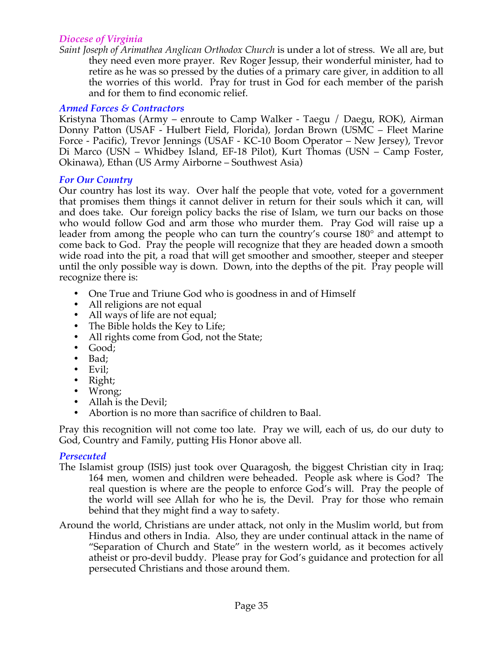#### *Diocese of Virginia*

*Saint Joseph of Arimathea Anglican Orthodox Church* is under a lot of stress. We all are, but they need even more prayer. Rev Roger Jessup, their wonderful minister, had to retire as he was so pressed by the duties of a primary care giver, in addition to all the worries of this world. Pray for trust in God for each member of the parish and for them to find economic relief.

#### *Armed Forces & Contractors*

Kristyna Thomas (Army – enroute to Camp Walker - Taegu / Daegu, ROK), Airman Donny Patton (USAF - Hulbert Field, Florida), Jordan Brown (USMC – Fleet Marine Force - Pacific), Trevor Jennings (USAF - KC-10 Boom Operator – New Jersey), Trevor Di Marco (USN – Whidbey Island, EF-18 Pilot), Kurt Thomas (USN – Camp Foster, Okinawa), Ethan (US Army Airborne – Southwest Asia)

#### *For Our Country*

Our country has lost its way. Over half the people that vote, voted for a government that promises them things it cannot deliver in return for their souls which it can, will and does take. Our foreign policy backs the rise of Islam, we turn our backs on those who would follow God and arm those who murder them. Pray God will raise up a leader from among the people who can turn the country's course 180° and attempt to come back to God. Pray the people will recognize that they are headed down a smooth wide road into the pit, a road that will get smoother and smoother, steeper and steeper until the only possible way is down. Down, into the depths of the pit. Pray people will recognize there is:

- One True and Triune God who is goodness in and of Himself
- All religions are not equal
- All ways of life are not equal;
- The Bible holds the Key to Life;
- All rights come from God, not the State;
- Good;
- Bad;
- Evil;
- Right;
- Wrong;
- Allah is the Devil;
- Abortion is no more than sacrifice of children to Baal.

Pray this recognition will not come too late. Pray we will, each of us, do our duty to God, Country and Family, putting His Honor above all.

#### *Persecuted*

- The Islamist group (ISIS) just took over Quaragosh, the biggest Christian city in Iraq; 164 men, women and children were beheaded. People ask where is God? The real question is where are the people to enforce God's will. Pray the people of the world will see Allah for who he is, the Devil. Pray for those who remain behind that they might find a way to safety.
- Around the world, Christians are under attack, not only in the Muslim world, but from Hindus and others in India. Also, they are under continual attack in the name of "Separation of Church and State" in the western world, as it becomes actively atheist or pro-devil buddy. Please pray for God's guidance and protection for all persecuted Christians and those around them.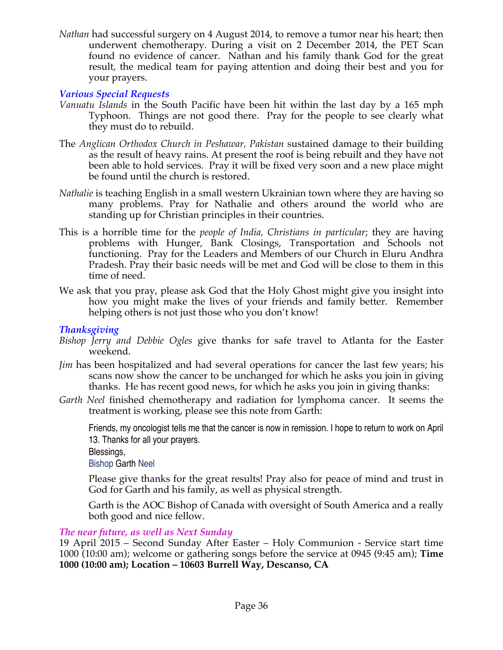*Nathan* had successful surgery on 4 August 2014, to remove a tumor near his heart; then underwent chemotherapy. During a visit on 2 December 2014, the PET Scan found no evidence of cancer. Nathan and his family thank God for the great result, the medical team for paying attention and doing their best and you for your prayers.

### *Various Special Requests*

- *Vanuatu Islands* in the South Pacific have been hit within the last day by a 165 mph Typhoon. Things are not good there. Pray for the people to see clearly what they must do to rebuild.
- The *Anglican Orthodox Church in Peshawar, Pakistan* sustained damage to their building as the result of heavy rains. At present the roof is being rebuilt and they have not been able to hold services. Pray it will be fixed very soon and a new place might be found until the church is restored.
- *Nathalie* is teaching English in a small western Ukrainian town where they are having so many problems. Pray for Nathalie and others around the world who are standing up for Christian principles in their countries.
- This is a horrible time for the *people of India, Christians in particular*; they are having problems with Hunger, Bank Closings, Transportation and Schools not functioning. Pray for the Leaders and Members of our Church in Eluru Andhra Pradesh. Pray their basic needs will be met and God will be close to them in this time of need.
- We ask that you pray, please ask God that the Holy Ghost might give you insight into how you might make the lives of your friends and family better. Remember helping others is not just those who you don't know!

### *Thanksgiving*

- *Bishop Jerry and Debbie Ogles* give thanks for safe travel to Atlanta for the Easter weekend.
- *Jim* has been hospitalized and had several operations for cancer the last few years; his scans now show the cancer to be unchanged for which he asks you join in giving thanks. He has recent good news, for which he asks you join in giving thanks:
- *Garth Neel* finished chemotherapy and radiation for lymphoma cancer. It seems the treatment is working, please see this note from Garth:

Friends, my oncologist tells me that the cancer is now in remission. I hope to return to work on April 13. Thanks for all your prayers.

Blessings,

Bishop Garth Neel

Please give thanks for the great results! Pray also for peace of mind and trust in God for Garth and his family, as well as physical strength.

Garth is the AOC Bishop of Canada with oversight of South America and a really both good and nice fellow.

# *The near future, as well as Next Sunday*

19 April 2015 – Second Sunday After Easter – Holy Communion - Service start time 1000 (10:00 am); welcome or gathering songs before the service at 0945 (9:45 am); **Time 1000 (10:00 am); Location – 10603 Burrell Way, Descanso, CA**